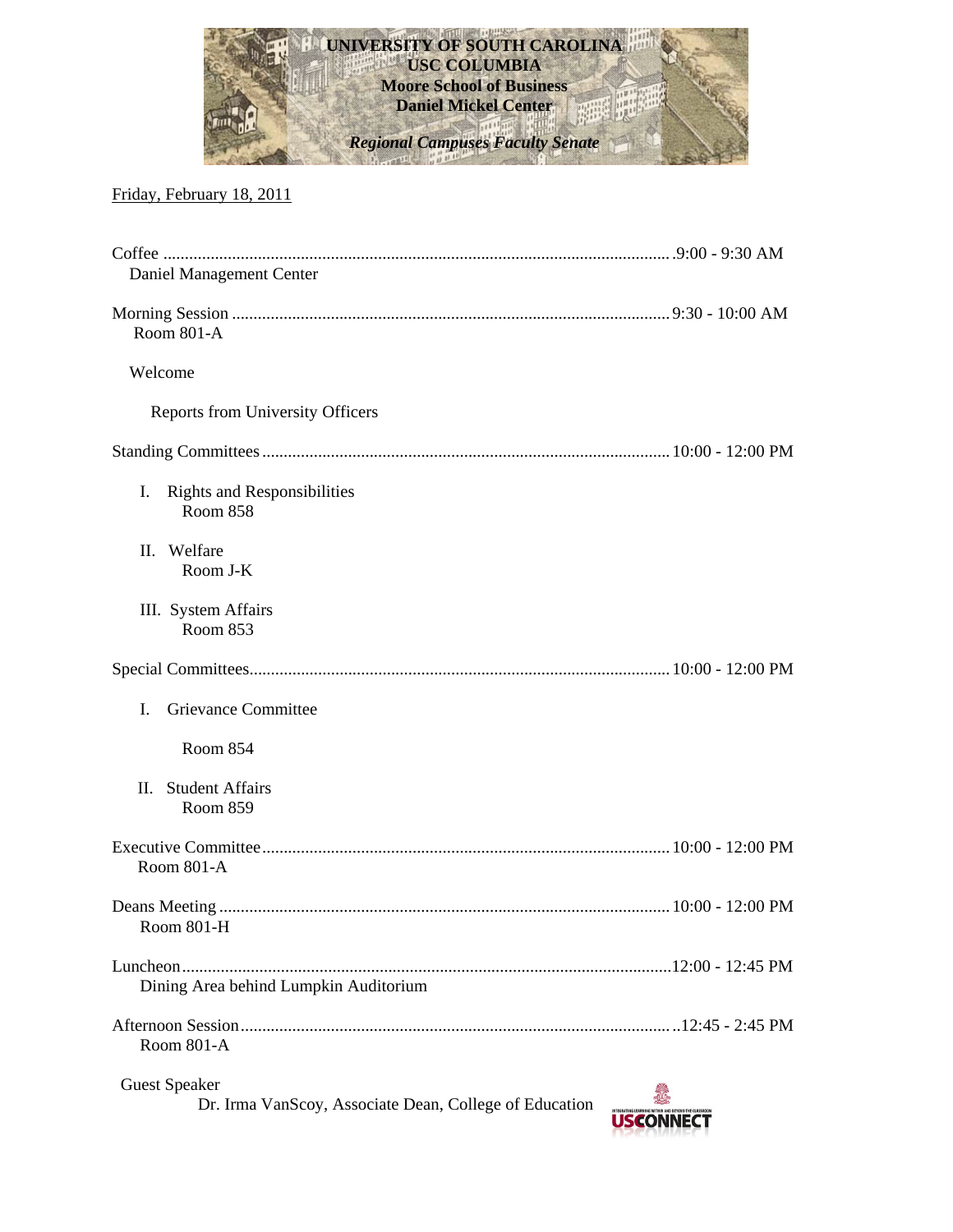

## Friday, February 18, 2011

| Daniel Management Center                                                       |                  |
|--------------------------------------------------------------------------------|------------------|
| Room 801-A                                                                     |                  |
| Welcome                                                                        |                  |
| <b>Reports from University Officers</b>                                        |                  |
|                                                                                |                  |
| Ι.<br><b>Rights and Responsibilities</b><br>Room 858                           |                  |
| II. Welfare<br>Room J-K                                                        |                  |
| III. System Affairs<br>Room 853                                                |                  |
|                                                                                |                  |
| Grievance Committee<br>I.                                                      |                  |
| Room 854                                                                       |                  |
| <b>Student Affairs</b><br>II.<br>Room 859                                      |                  |
| Room 801-A                                                                     |                  |
| Room 801-H                                                                     |                  |
| Dining Area behind Lumpkin Auditorium                                          |                  |
| Room 801-A                                                                     |                  |
| <b>Guest Speaker</b><br>Dr. Irma VanScoy, Associate Dean, College of Education | <b>USCONNECT</b> |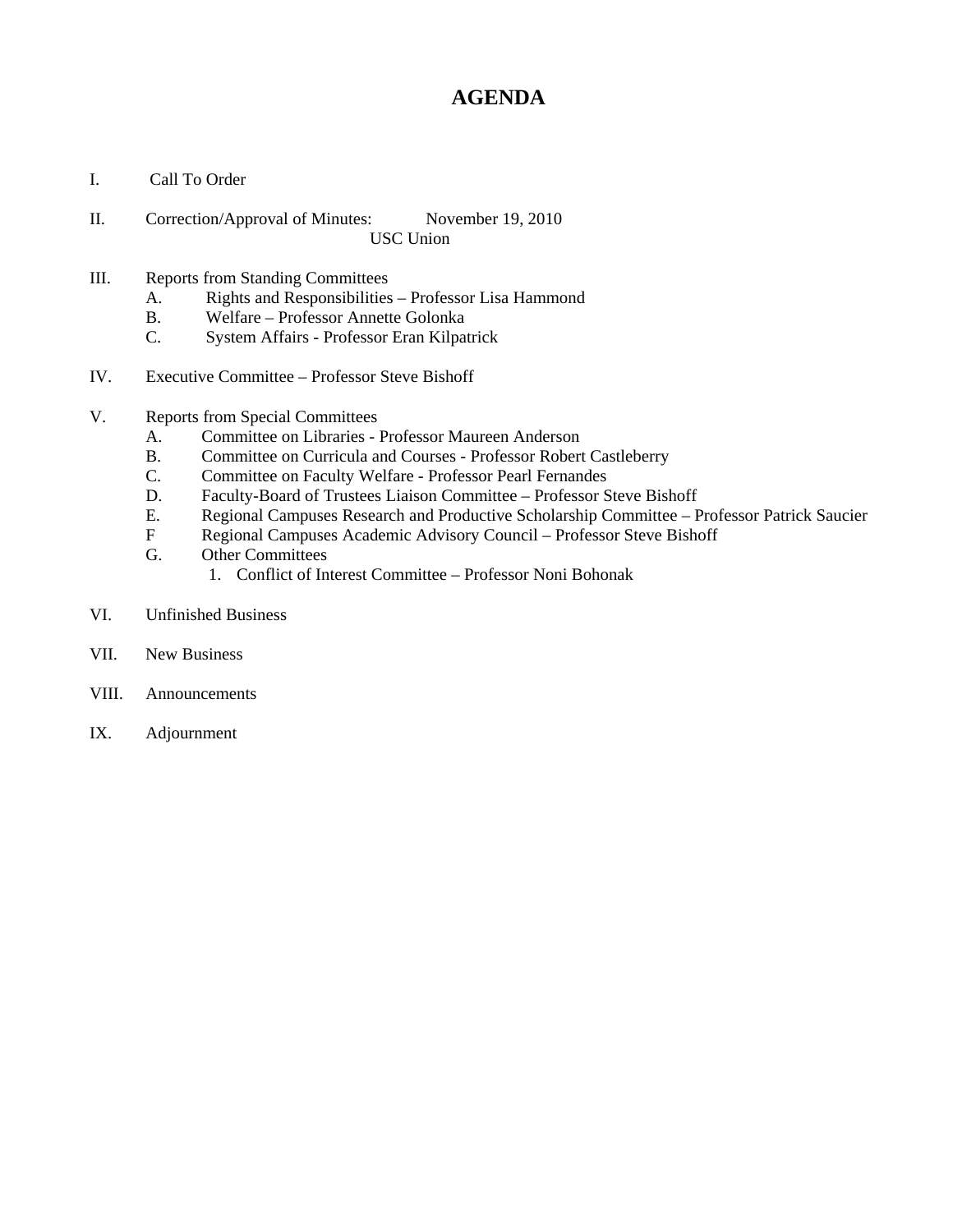# **AGENDA**

- I. Call To Order
- II. Correction/Approval of Minutes: November 19, 2010 USC Union
- III. Reports from Standing Committees
	- A. Rights and Responsibilities Professor Lisa Hammond
	- B. Welfare Professor Annette Golonka
	- C. System Affairs Professor Eran Kilpatrick
- IV. Executive Committee Professor Steve Bishoff
- V. Reports from Special Committees
	- A. Committee on Libraries Professor Maureen Anderson
	- B. Committee on Curricula and Courses Professor Robert Castleberry
	- C. Committee on Faculty Welfare Professor Pearl Fernandes
	- D. Faculty-Board of Trustees Liaison Committee Professor Steve Bishoff
	- E. Regional Campuses Research and Productive Scholarship Committee Professor Patrick Saucier
	- F Regional Campuses Academic Advisory Council Professor Steve Bishoff
	- G. Other Committees
		- 1. Conflict of Interest Committee Professor Noni Bohonak
- VI. Unfinished Business
- VII. New Business
- VIII. Announcements
- IX. Adjournment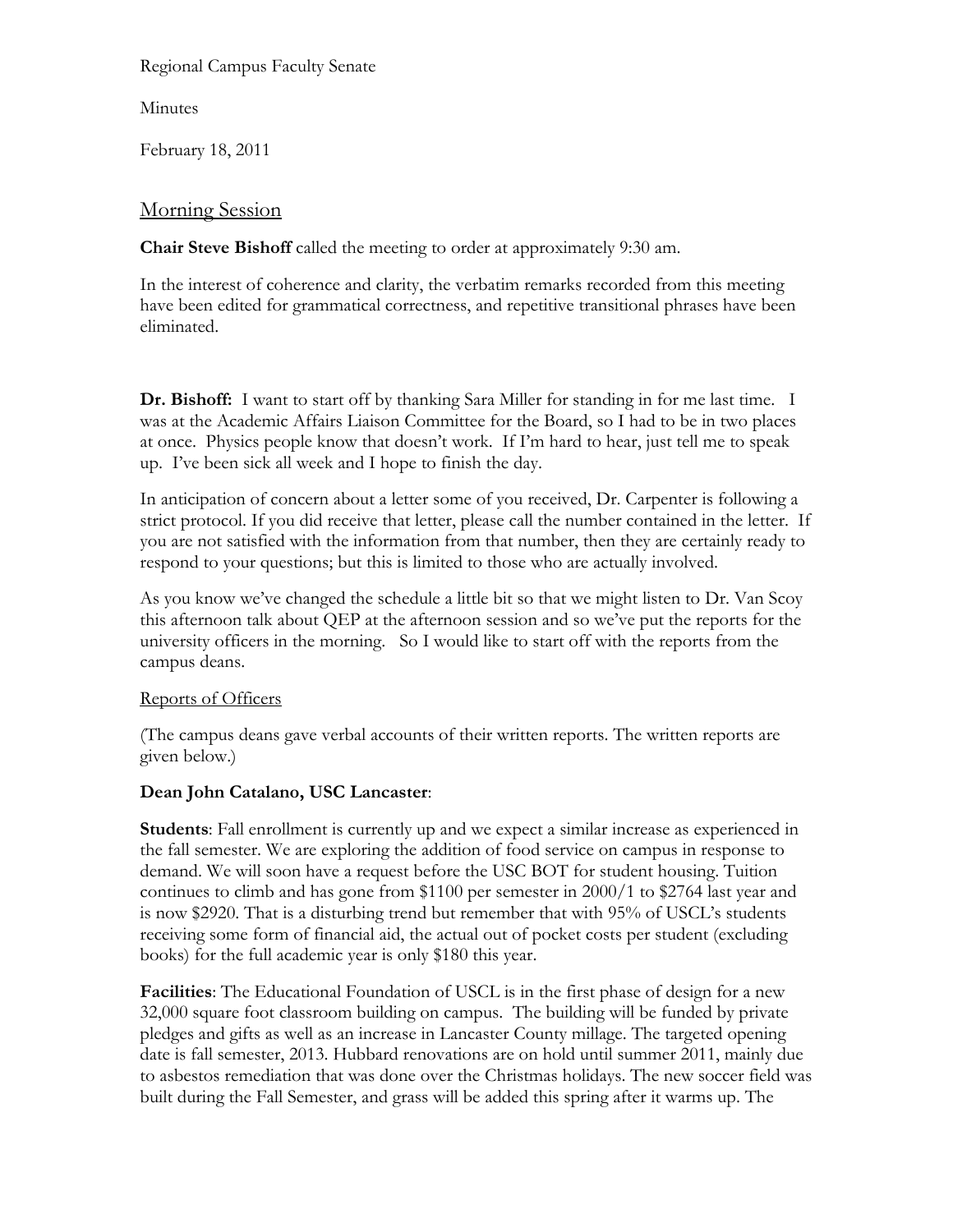### Regional Campus Faculty Senate

Minutes

February 18, 2011

### Morning Session

**Chair Steve Bishoff** called the meeting to order at approximately 9:30 am.

In the interest of coherence and clarity, the verbatim remarks recorded from this meeting have been edited for grammatical correctness, and repetitive transitional phrases have been eliminated.

**Dr. Bishoff:** I want to start off by thanking Sara Miller for standing in for me last time. I was at the Academic Affairs Liaison Committee for the Board, so I had to be in two places at once. Physics people know that doesn't work. If I'm hard to hear, just tell me to speak up. I've been sick all week and I hope to finish the day.

In anticipation of concern about a letter some of you received, Dr. Carpenter is following a strict protocol. If you did receive that letter, please call the number contained in the letter. If you are not satisfied with the information from that number, then they are certainly ready to respond to your questions; but this is limited to those who are actually involved.

As you know we've changed the schedule a little bit so that we might listen to Dr. Van Scoy this afternoon talk about QEP at the afternoon session and so we've put the reports for the university officers in the morning. So I would like to start off with the reports from the campus deans.

### Reports of Officers

(The campus deans gave verbal accounts of their written reports. The written reports are given below.)

### **Dean John Catalano, USC Lancaster**:

**Students**: Fall enrollment is currently up and we expect a similar increase as experienced in the fall semester. We are exploring the addition of food service on campus in response to demand. We will soon have a request before the USC BOT for student housing. Tuition continues to climb and has gone from \$1100 per semester in 2000/1 to \$2764 last year and is now \$2920. That is a disturbing trend but remember that with 95% of USCL's students receiving some form of financial aid, the actual out of pocket costs per student (excluding books) for the full academic year is only \$180 this year.

**Facilities**: The Educational Foundation of USCL is in the first phase of design for a new 32,000 square foot classroom building on campus. The building will be funded by private pledges and gifts as well as an increase in Lancaster County millage. The targeted opening date is fall semester, 2013. Hubbard renovations are on hold until summer 2011, mainly due to asbestos remediation that was done over the Christmas holidays. The new soccer field was built during the Fall Semester, and grass will be added this spring after it warms up. The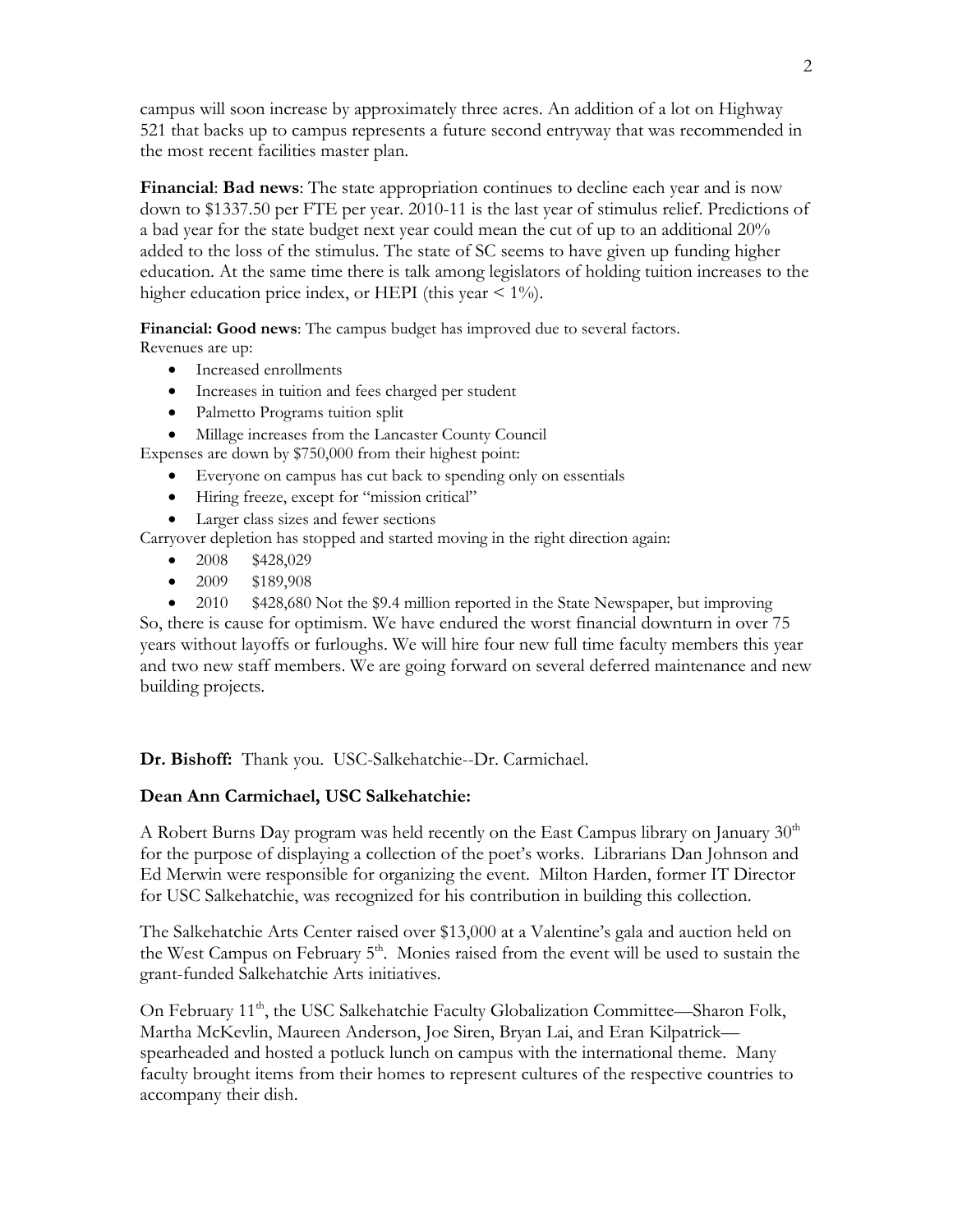campus will soon increase by approximately three acres. An addition of a lot on Highway 521 that backs up to campus represents a future second entryway that was recommended in the most recent facilities master plan.

**Financial**: **Bad news**: The state appropriation continues to decline each year and is now down to \$1337.50 per FTE per year. 2010-11 is the last year of stimulus relief. Predictions of a bad year for the state budget next year could mean the cut of up to an additional 20% added to the loss of the stimulus. The state of SC seems to have given up funding higher education. At the same time there is talk among legislators of holding tuition increases to the higher education price index, or HEPI (this year  $\leq 1\%$ ).

**Financial: Good news**: The campus budget has improved due to several factors.

Revenues are up:

- Increased enrollments
- Increases in tuition and fees charged per student
- Palmetto Programs tuition split

Millage increases from the Lancaster County Council

Expenses are down by \$750,000 from their highest point:

- Everyone on campus has cut back to spending only on essentials
- Hiring freeze, except for "mission critical"
- Larger class sizes and fewer sections

Carryover depletion has stopped and started moving in the right direction again:

- $\bullet$  2008 \$428,029
- 2009 \$189,908

• 2010 \$428,680 Not the \$9.4 million reported in the State Newspaper, but improving So, there is cause for optimism. We have endured the worst financial downturn in over 75 years without layoffs or furloughs. We will hire four new full time faculty members this year and two new staff members. We are going forward on several deferred maintenance and new building projects.

**Dr. Bishoff:** Thank you. USC-Salkehatchie--Dr. Carmichael.

### **Dean Ann Carmichael, USC Salkehatchie:**

A Robert Burns Day program was held recently on the East Campus library on January  $30<sup>th</sup>$ for the purpose of displaying a collection of the poet's works. Librarians Dan Johnson and Ed Merwin were responsible for organizing the event. Milton Harden, former IT Director for USC Salkehatchie, was recognized for his contribution in building this collection.

The Salkehatchie Arts Center raised over \$13,000 at a Valentine's gala and auction held on the West Campus on February 5<sup>th</sup>. Monies raised from the event will be used to sustain the grant-funded Salkehatchie Arts initiatives.

On February 11<sup>th</sup>, the USC Salkehatchie Faculty Globalization Committee—Sharon Folk, Martha McKevlin, Maureen Anderson, Joe Siren, Bryan Lai, and Eran Kilpatrick spearheaded and hosted a potluck lunch on campus with the international theme. Many faculty brought items from their homes to represent cultures of the respective countries to accompany their dish.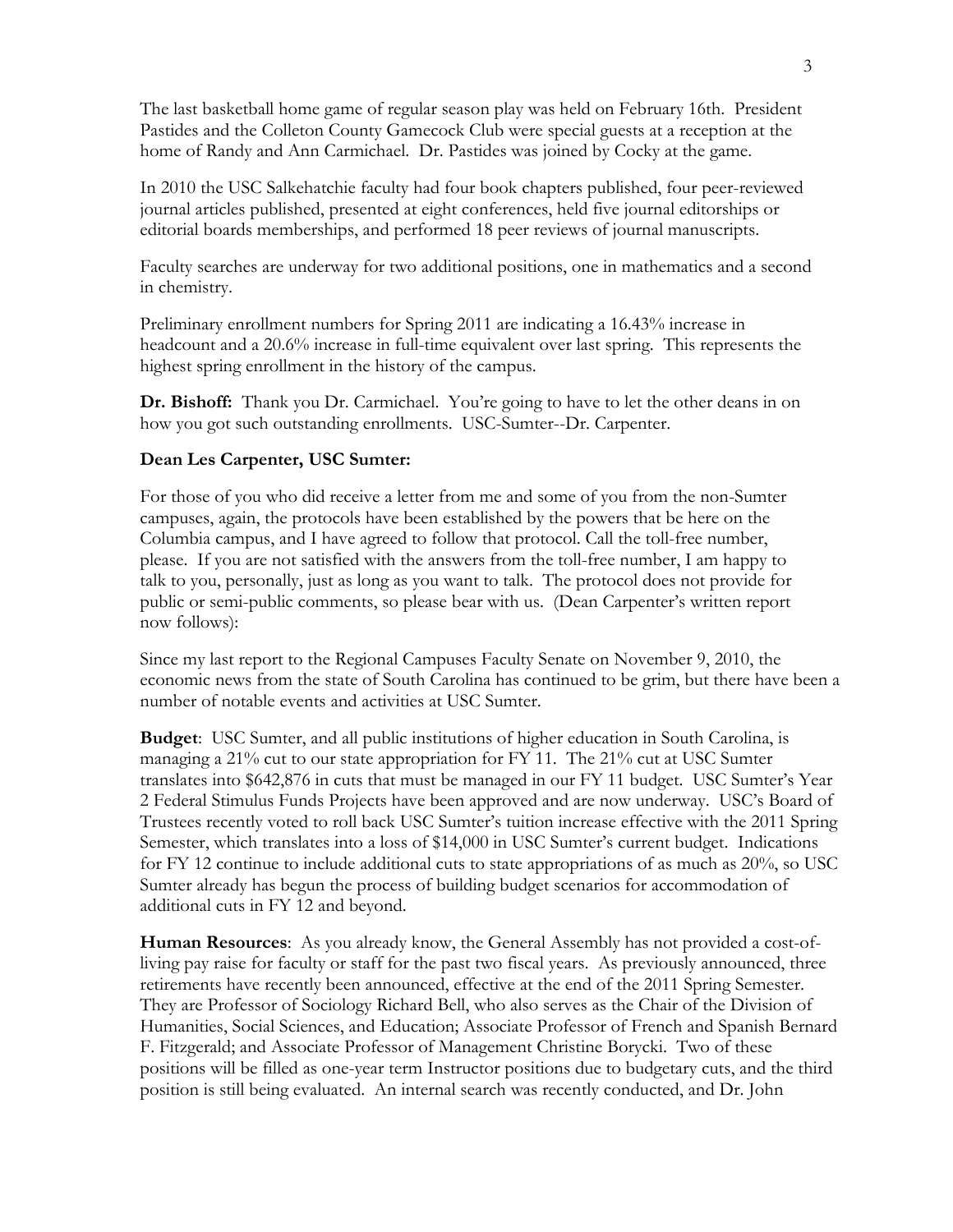The last basketball home game of regular season play was held on February 16th. President Pastides and the Colleton County Gamecock Club were special guests at a reception at the home of Randy and Ann Carmichael. Dr. Pastides was joined by Cocky at the game.

In 2010 the USC Salkehatchie faculty had four book chapters published, four peer-reviewed journal articles published, presented at eight conferences, held five journal editorships or editorial boards memberships, and performed 18 peer reviews of journal manuscripts.

Faculty searches are underway for two additional positions, one in mathematics and a second in chemistry.

Preliminary enrollment numbers for Spring 2011 are indicating a 16.43% increase in headcount and a 20.6% increase in full-time equivalent over last spring. This represents the highest spring enrollment in the history of the campus.

**Dr. Bishoff:** Thank you Dr. Carmichael. You're going to have to let the other deans in on how you got such outstanding enrollments. USC-Sumter--Dr. Carpenter.

### **Dean Les Carpenter, USC Sumter:**

For those of you who did receive a letter from me and some of you from the non-Sumter campuses, again, the protocols have been established by the powers that be here on the Columbia campus, and I have agreed to follow that protocol. Call the toll-free number, please. If you are not satisfied with the answers from the toll-free number, I am happy to talk to you, personally, just as long as you want to talk. The protocol does not provide for public or semi-public comments, so please bear with us. (Dean Carpenter's written report now follows):

Since my last report to the Regional Campuses Faculty Senate on November 9, 2010, the economic news from the state of South Carolina has continued to be grim, but there have been a number of notable events and activities at USC Sumter.

**Budget**: USC Sumter, and all public institutions of higher education in South Carolina, is managing a 21% cut to our state appropriation for FY 11. The 21% cut at USC Sumter translates into \$642,876 in cuts that must be managed in our FY 11 budget. USC Sumter's Year 2 Federal Stimulus Funds Projects have been approved and are now underway. USC's Board of Trustees recently voted to roll back USC Sumter's tuition increase effective with the 2011 Spring Semester, which translates into a loss of \$14,000 in USC Sumter's current budget. Indications for FY 12 continue to include additional cuts to state appropriations of as much as 20%, so USC Sumter already has begun the process of building budget scenarios for accommodation of additional cuts in FY 12 and beyond.

**Human Resources**: As you already know, the General Assembly has not provided a cost-ofliving pay raise for faculty or staff for the past two fiscal years. As previously announced, three retirements have recently been announced, effective at the end of the 2011 Spring Semester. They are Professor of Sociology Richard Bell, who also serves as the Chair of the Division of Humanities, Social Sciences, and Education; Associate Professor of French and Spanish Bernard F. Fitzgerald; and Associate Professor of Management Christine Borycki. Two of these positions will be filled as one-year term Instructor positions due to budgetary cuts, and the third position is still being evaluated. An internal search was recently conducted, and Dr. John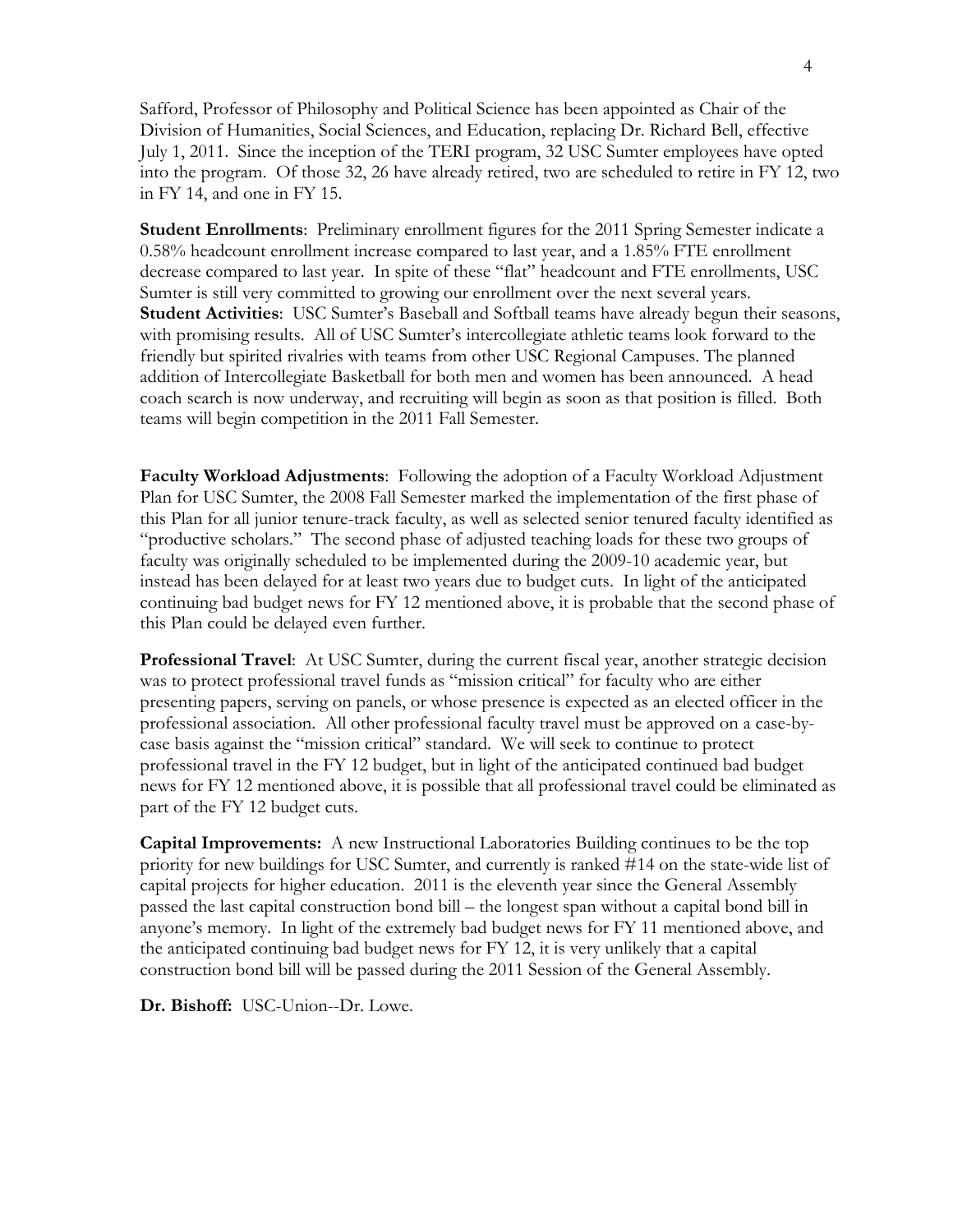Safford, Professor of Philosophy and Political Science has been appointed as Chair of the Division of Humanities, Social Sciences, and Education, replacing Dr. Richard Bell, effective July 1, 2011. Since the inception of the TERI program, 32 USC Sumter employees have opted into the program. Of those 32, 26 have already retired, two are scheduled to retire in FY 12, two in FY 14, and one in FY 15.

**Student Enrollments**: Preliminary enrollment figures for the 2011 Spring Semester indicate a 0.58% headcount enrollment increase compared to last year, and a 1.85% FTE enrollment decrease compared to last year. In spite of these "flat" headcount and FTE enrollments, USC Sumter is still very committed to growing our enrollment over the next several years. **Student Activities**: USC Sumter's Baseball and Softball teams have already begun their seasons, with promising results. All of USC Sumter's intercollegiate athletic teams look forward to the friendly but spirited rivalries with teams from other USC Regional Campuses. The planned addition of Intercollegiate Basketball for both men and women has been announced. A head coach search is now underway, and recruiting will begin as soon as that position is filled. Both teams will begin competition in the 2011 Fall Semester.

**Faculty Workload Adjustments**: Following the adoption of a Faculty Workload Adjustment Plan for USC Sumter, the 2008 Fall Semester marked the implementation of the first phase of this Plan for all junior tenure-track faculty, as well as selected senior tenured faculty identified as "productive scholars." The second phase of adjusted teaching loads for these two groups of faculty was originally scheduled to be implemented during the 2009-10 academic year, but instead has been delayed for at least two years due to budget cuts. In light of the anticipated continuing bad budget news for FY 12 mentioned above, it is probable that the second phase of this Plan could be delayed even further.

**Professional Travel**: At USC Sumter, during the current fiscal year, another strategic decision was to protect professional travel funds as "mission critical" for faculty who are either presenting papers, serving on panels, or whose presence is expected as an elected officer in the professional association. All other professional faculty travel must be approved on a case-bycase basis against the "mission critical" standard. We will seek to continue to protect professional travel in the FY 12 budget, but in light of the anticipated continued bad budget news for FY 12 mentioned above, it is possible that all professional travel could be eliminated as part of the FY 12 budget cuts.

**Capital Improvements:** A new Instructional Laboratories Building continues to be the top priority for new buildings for USC Sumter, and currently is ranked #14 on the state-wide list of capital projects for higher education. 2011 is the eleventh year since the General Assembly passed the last capital construction bond bill – the longest span without a capital bond bill in anyone's memory. In light of the extremely bad budget news for FY 11 mentioned above, and the anticipated continuing bad budget news for FY 12, it is very unlikely that a capital construction bond bill will be passed during the 2011 Session of the General Assembly.

**Dr. Bishoff:** USC-Union--Dr. Lowe.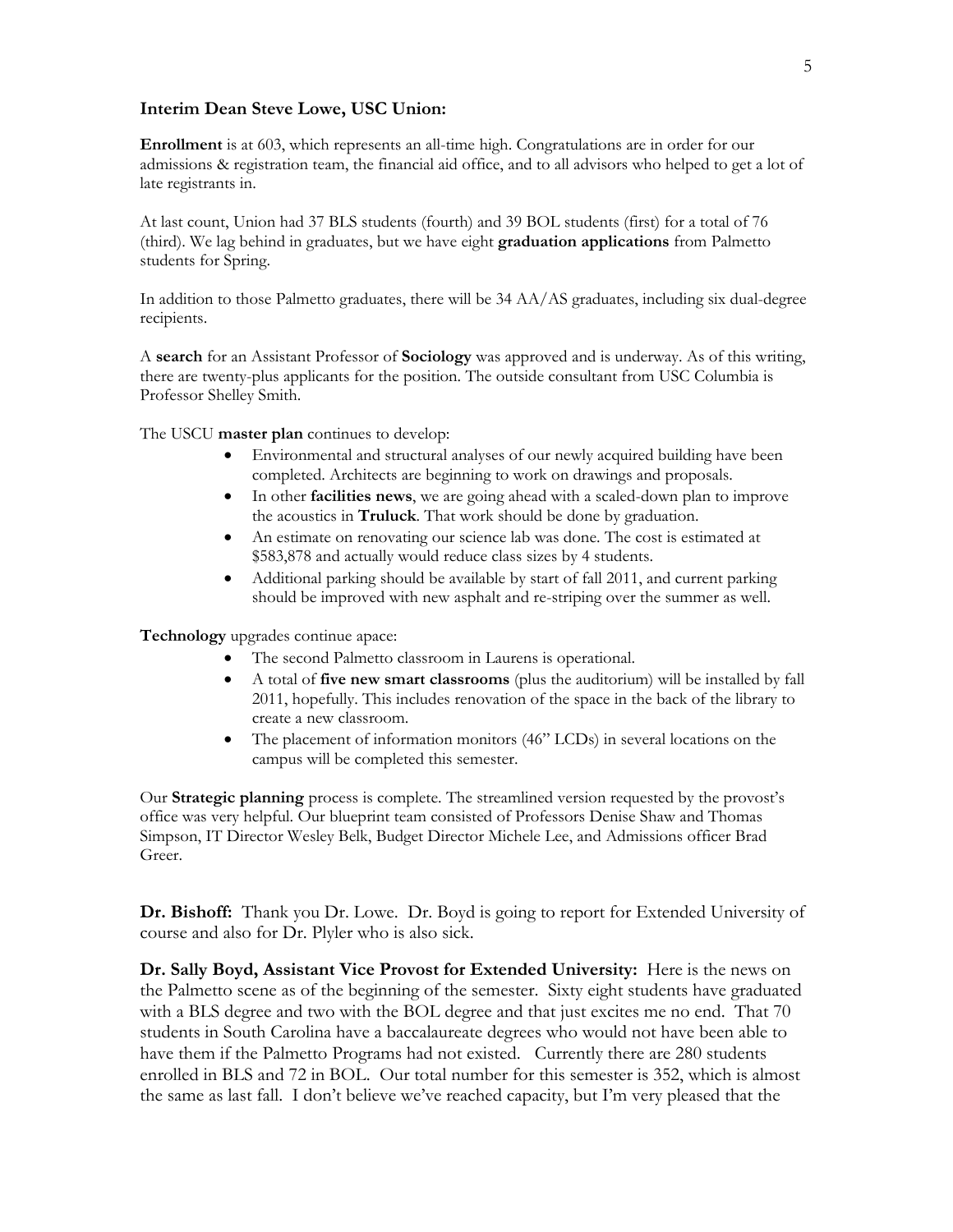#### **Interim Dean Steve Lowe, USC Union:**

**Enrollment** is at 603, which represents an all-time high. Congratulations are in order for our admissions & registration team, the financial aid office, and to all advisors who helped to get a lot of late registrants in.

At last count, Union had 37 BLS students (fourth) and 39 BOL students (first) for a total of 76 (third). We lag behind in graduates, but we have eight **graduation applications** from Palmetto students for Spring.

In addition to those Palmetto graduates, there will be 34 AA/AS graduates, including six dual-degree recipients.

A **search** for an Assistant Professor of **Sociology** was approved and is underway. As of this writing, there are twenty-plus applicants for the position. The outside consultant from USC Columbia is Professor Shelley Smith.

The USCU **master plan** continues to develop:

- Environmental and structural analyses of our newly acquired building have been completed. Architects are beginning to work on drawings and proposals.
- In other **facilities news**, we are going ahead with a scaled-down plan to improve the acoustics in **Truluck**. That work should be done by graduation.
- An estimate on renovating our science lab was done. The cost is estimated at \$583,878 and actually would reduce class sizes by 4 students.
- Additional parking should be available by start of fall 2011, and current parking should be improved with new asphalt and re-striping over the summer as well.

**Technology** upgrades continue apace:

- The second Palmetto classroom in Laurens is operational.
- A total of **five new smart classrooms** (plus the auditorium) will be installed by fall 2011, hopefully. This includes renovation of the space in the back of the library to create a new classroom.
- The placement of information monitors (46" LCDs) in several locations on the campus will be completed this semester.

Our **Strategic planning** process is complete. The streamlined version requested by the provost's office was very helpful. Our blueprint team consisted of Professors Denise Shaw and Thomas Simpson, IT Director Wesley Belk, Budget Director Michele Lee, and Admissions officer Brad Greer.

**Dr. Bishoff:** Thank you Dr. Lowe. Dr. Boyd is going to report for Extended University of course and also for Dr. Plyler who is also sick.

**Dr. Sally Boyd, Assistant Vice Provost for Extended University:** Here is the news on the Palmetto scene as of the beginning of the semester. Sixty eight students have graduated with a BLS degree and two with the BOL degree and that just excites me no end. That 70 students in South Carolina have a baccalaureate degrees who would not have been able to have them if the Palmetto Programs had not existed. Currently there are 280 students enrolled in BLS and 72 in BOL. Our total number for this semester is 352, which is almost the same as last fall. I don't believe we've reached capacity, but I'm very pleased that the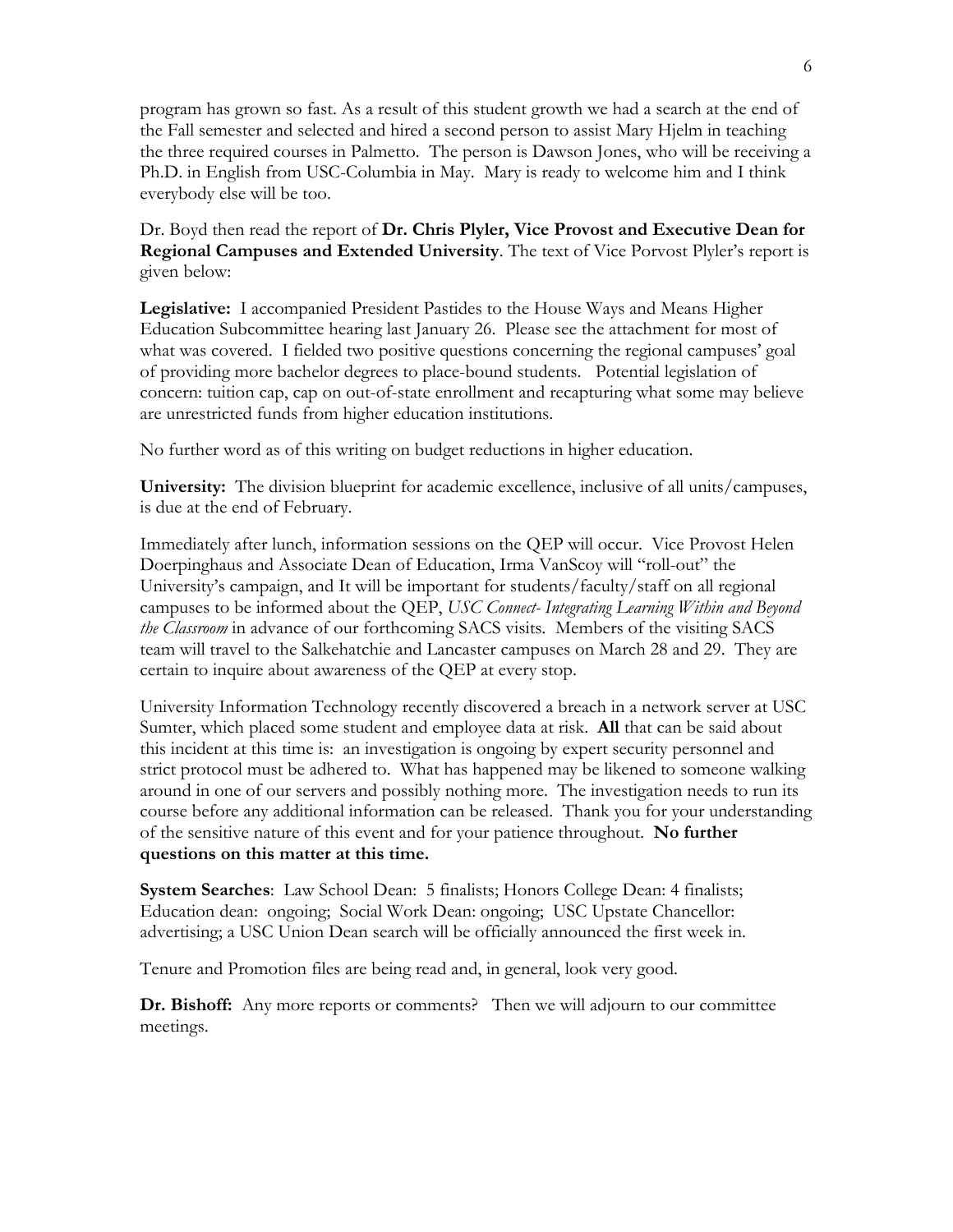program has grown so fast. As a result of this student growth we had a search at the end of the Fall semester and selected and hired a second person to assist Mary Hjelm in teaching the three required courses in Palmetto. The person is Dawson Jones, who will be receiving a Ph.D. in English from USC-Columbia in May. Mary is ready to welcome him and I think everybody else will be too.

Dr. Boyd then read the report of **Dr. Chris Plyler, Vice Provost and Executive Dean for Regional Campuses and Extended University**. The text of Vice Porvost Plyler's report is given below:

**Legislative:** I accompanied President Pastides to the House Ways and Means Higher Education Subcommittee hearing last January 26. Please see the attachment for most of what was covered. I fielded two positive questions concerning the regional campuses' goal of providing more bachelor degrees to place-bound students. Potential legislation of concern: tuition cap, cap on out-of-state enrollment and recapturing what some may believe are unrestricted funds from higher education institutions.

No further word as of this writing on budget reductions in higher education.

**University:** The division blueprint for academic excellence, inclusive of all units/campuses, is due at the end of February.

Immediately after lunch, information sessions on the QEP will occur. Vice Provost Helen Doerpinghaus and Associate Dean of Education, Irma VanScoy will "roll-out" the University's campaign, and It will be important for students/faculty/staff on all regional campuses to be informed about the QEP, *USC Connect- Integrating Learning Within and Beyond the Classroom* in advance of our forthcoming SACS visits*.* Members of the visiting SACS team will travel to the Salkehatchie and Lancaster campuses on March 28 and 29. They are certain to inquire about awareness of the QEP at every stop.

University Information Technology recently discovered a breach in a network server at USC Sumter, which placed some student and employee data at risk. **All** that can be said about this incident at this time is: an investigation is ongoing by expert security personnel and strict protocol must be adhered to. What has happened may be likened to someone walking around in one of our servers and possibly nothing more. The investigation needs to run its course before any additional information can be released. Thank you for your understanding of the sensitive nature of this event and for your patience throughout. **No further questions on this matter at this time.**

**System Searches**: Law School Dean: 5 finalists; Honors College Dean: 4 finalists; Education dean: ongoing; Social Work Dean: ongoing; USC Upstate Chancellor: advertising; a USC Union Dean search will be officially announced the first week in.

Tenure and Promotion files are being read and, in general, look very good.

**Dr. Bishoff:** Any more reports or comments? Then we will adjourn to our committee meetings.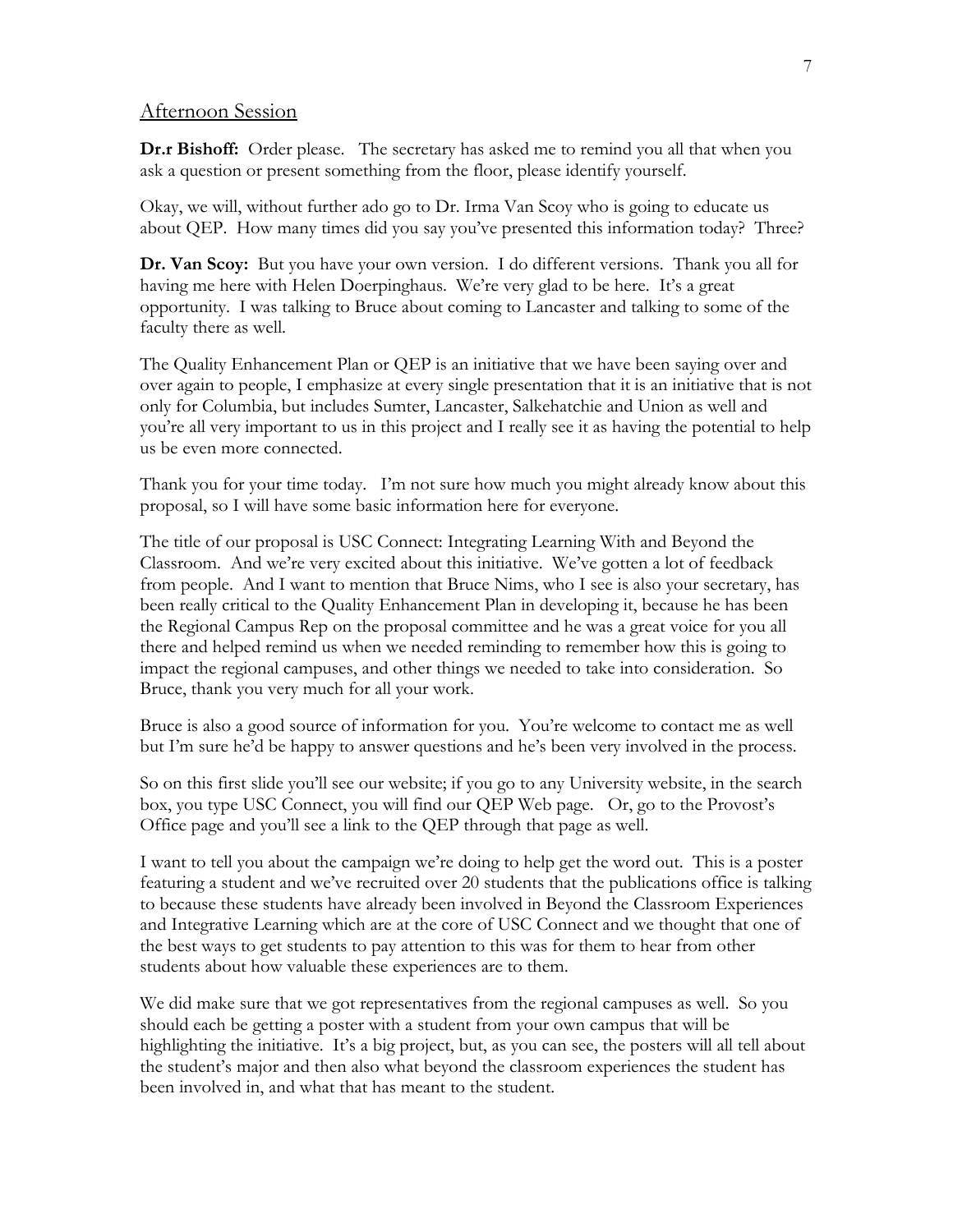#### Afternoon Session

**Dr.r Bishoff:** Order please. The secretary has asked me to remind you all that when you ask a question or present something from the floor, please identify yourself.

Okay, we will, without further ado go to Dr. Irma Van Scoy who is going to educate us about QEP. How many times did you say you've presented this information today? Three?

**Dr. Van Scoy:** But you have your own version. I do different versions. Thank you all for having me here with Helen Doerpinghaus. We're very glad to be here. It's a great opportunity. I was talking to Bruce about coming to Lancaster and talking to some of the faculty there as well.

The Quality Enhancement Plan or QEP is an initiative that we have been saying over and over again to people, I emphasize at every single presentation that it is an initiative that is not only for Columbia, but includes Sumter, Lancaster, Salkehatchie and Union as well and you're all very important to us in this project and I really see it as having the potential to help us be even more connected.

Thank you for your time today. I'm not sure how much you might already know about this proposal, so I will have some basic information here for everyone.

The title of our proposal is USC Connect: Integrating Learning With and Beyond the Classroom. And we're very excited about this initiative. We've gotten a lot of feedback from people. And I want to mention that Bruce Nims, who I see is also your secretary, has been really critical to the Quality Enhancement Plan in developing it, because he has been the Regional Campus Rep on the proposal committee and he was a great voice for you all there and helped remind us when we needed reminding to remember how this is going to impact the regional campuses, and other things we needed to take into consideration. So Bruce, thank you very much for all your work.

Bruce is also a good source of information for you. You're welcome to contact me as well but I'm sure he'd be happy to answer questions and he's been very involved in the process.

So on this first slide you'll see our website; if you go to any University website, in the search box, you type USC Connect, you will find our QEP Web page. Or, go to the Provost's Office page and you'll see a link to the QEP through that page as well.

I want to tell you about the campaign we're doing to help get the word out. This is a poster featuring a student and we've recruited over 20 students that the publications office is talking to because these students have already been involved in Beyond the Classroom Experiences and Integrative Learning which are at the core of USC Connect and we thought that one of the best ways to get students to pay attention to this was for them to hear from other students about how valuable these experiences are to them.

We did make sure that we got representatives from the regional campuses as well. So you should each be getting a poster with a student from your own campus that will be highlighting the initiative. It's a big project, but, as you can see, the posters will all tell about the student's major and then also what beyond the classroom experiences the student has been involved in, and what that has meant to the student.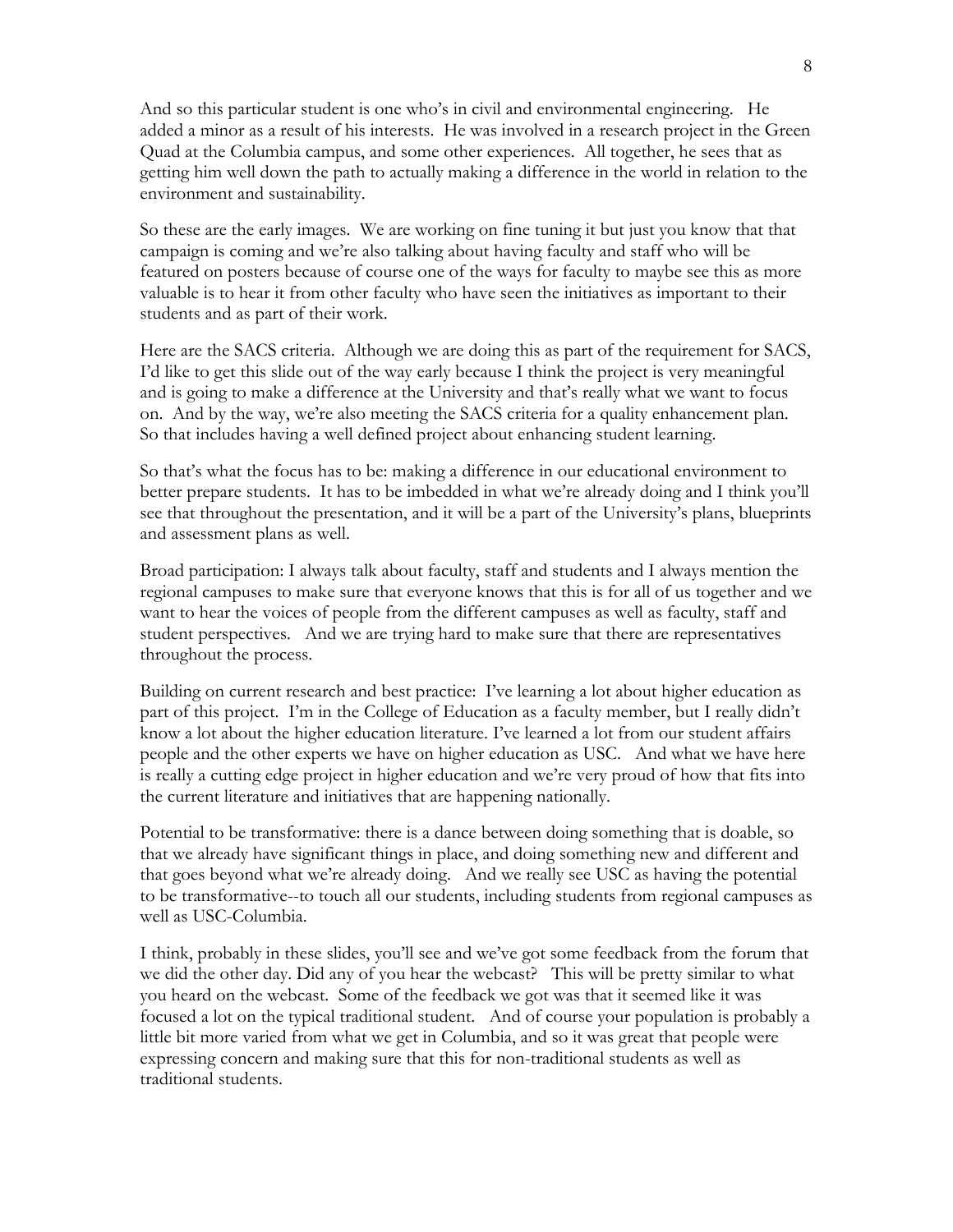And so this particular student is one who's in civil and environmental engineering. He added a minor as a result of his interests. He was involved in a research project in the Green Quad at the Columbia campus, and some other experiences. All together, he sees that as getting him well down the path to actually making a difference in the world in relation to the environment and sustainability.

So these are the early images. We are working on fine tuning it but just you know that that campaign is coming and we're also talking about having faculty and staff who will be featured on posters because of course one of the ways for faculty to maybe see this as more valuable is to hear it from other faculty who have seen the initiatives as important to their students and as part of their work.

Here are the SACS criteria. Although we are doing this as part of the requirement for SACS, I'd like to get this slide out of the way early because I think the project is very meaningful and is going to make a difference at the University and that's really what we want to focus on. And by the way, we're also meeting the SACS criteria for a quality enhancement plan. So that includes having a well defined project about enhancing student learning.

So that's what the focus has to be: making a difference in our educational environment to better prepare students. It has to be imbedded in what we're already doing and I think you'll see that throughout the presentation, and it will be a part of the University's plans, blueprints and assessment plans as well.

Broad participation: I always talk about faculty, staff and students and I always mention the regional campuses to make sure that everyone knows that this is for all of us together and we want to hear the voices of people from the different campuses as well as faculty, staff and student perspectives. And we are trying hard to make sure that there are representatives throughout the process.

Building on current research and best practice: I've learning a lot about higher education as part of this project. I'm in the College of Education as a faculty member, but I really didn't know a lot about the higher education literature. I've learned a lot from our student affairs people and the other experts we have on higher education as USC. And what we have here is really a cutting edge project in higher education and we're very proud of how that fits into the current literature and initiatives that are happening nationally.

Potential to be transformative: there is a dance between doing something that is doable, so that we already have significant things in place, and doing something new and different and that goes beyond what we're already doing. And we really see USC as having the potential to be transformative--to touch all our students, including students from regional campuses as well as USC-Columbia.

I think, probably in these slides, you'll see and we've got some feedback from the forum that we did the other day. Did any of you hear the webcast? This will be pretty similar to what you heard on the webcast. Some of the feedback we got was that it seemed like it was focused a lot on the typical traditional student. And of course your population is probably a little bit more varied from what we get in Columbia, and so it was great that people were expressing concern and making sure that this for non-traditional students as well as traditional students.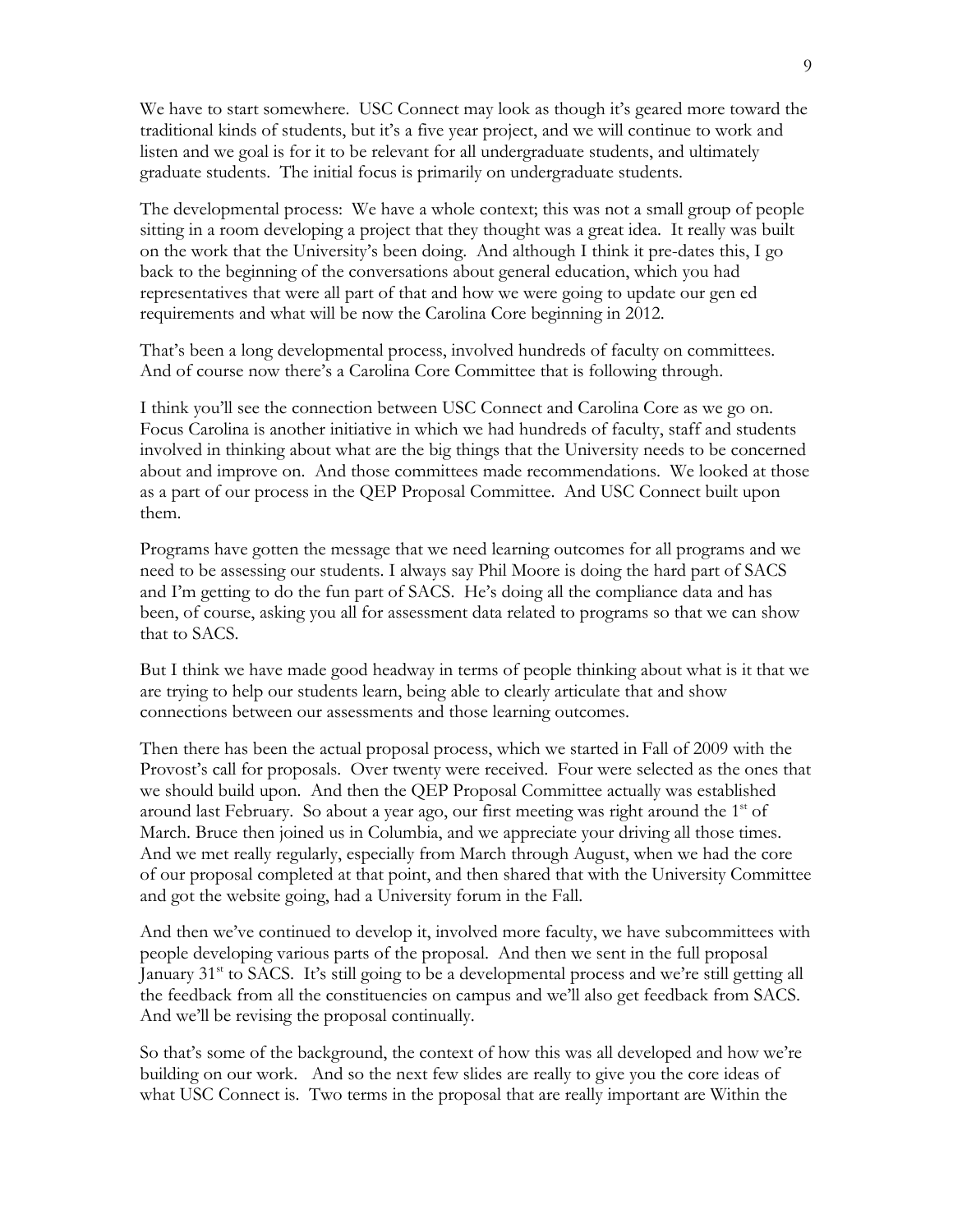We have to start somewhere. USC Connect may look as though it's geared more toward the traditional kinds of students, but it's a five year project, and we will continue to work and listen and we goal is for it to be relevant for all undergraduate students, and ultimately graduate students. The initial focus is primarily on undergraduate students.

The developmental process: We have a whole context; this was not a small group of people sitting in a room developing a project that they thought was a great idea. It really was built on the work that the University's been doing. And although I think it pre-dates this, I go back to the beginning of the conversations about general education, which you had representatives that were all part of that and how we were going to update our gen ed requirements and what will be now the Carolina Core beginning in 2012.

That's been a long developmental process, involved hundreds of faculty on committees. And of course now there's a Carolina Core Committee that is following through.

I think you'll see the connection between USC Connect and Carolina Core as we go on. Focus Carolina is another initiative in which we had hundreds of faculty, staff and students involved in thinking about what are the big things that the University needs to be concerned about and improve on. And those committees made recommendations. We looked at those as a part of our process in the QEP Proposal Committee. And USC Connect built upon them.

Programs have gotten the message that we need learning outcomes for all programs and we need to be assessing our students. I always say Phil Moore is doing the hard part of SACS and I'm getting to do the fun part of SACS. He's doing all the compliance data and has been, of course, asking you all for assessment data related to programs so that we can show that to SACS.

But I think we have made good headway in terms of people thinking about what is it that we are trying to help our students learn, being able to clearly articulate that and show connections between our assessments and those learning outcomes.

Then there has been the actual proposal process, which we started in Fall of 2009 with the Provost's call for proposals. Over twenty were received. Four were selected as the ones that we should build upon. And then the QEP Proposal Committee actually was established around last February. So about a year ago, our first meeting was right around the  $1<sup>st</sup>$  of March. Bruce then joined us in Columbia, and we appreciate your driving all those times. And we met really regularly, especially from March through August, when we had the core of our proposal completed at that point, and then shared that with the University Committee and got the website going, had a University forum in the Fall.

And then we've continued to develop it, involved more faculty, we have subcommittees with people developing various parts of the proposal. And then we sent in the full proposal January 31<sup>st</sup> to SACS. It's still going to be a developmental process and we're still getting all the feedback from all the constituencies on campus and we'll also get feedback from SACS. And we'll be revising the proposal continually.

So that's some of the background, the context of how this was all developed and how we're building on our work. And so the next few slides are really to give you the core ideas of what USC Connect is. Two terms in the proposal that are really important are Within the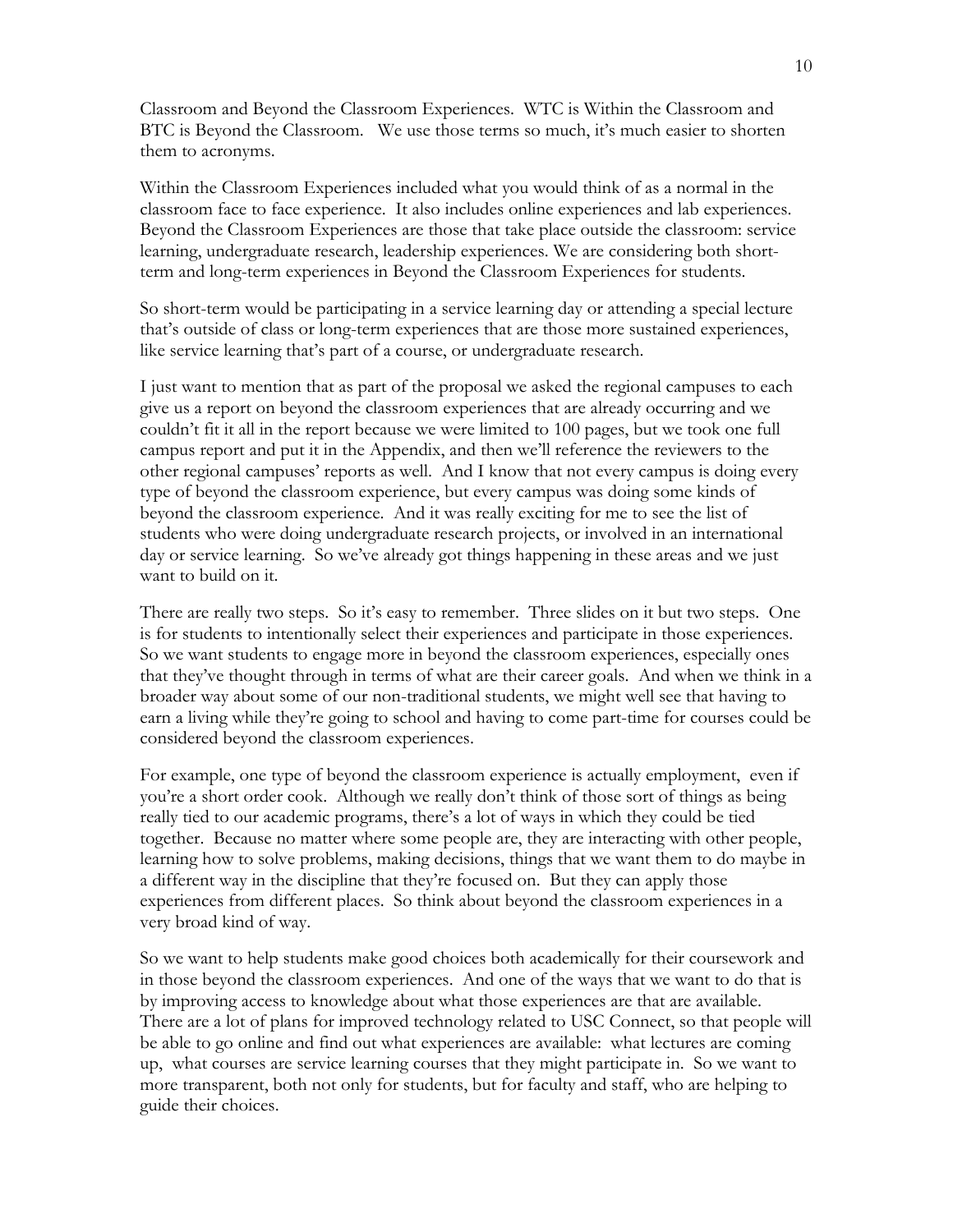Classroom and Beyond the Classroom Experiences. WTC is Within the Classroom and BTC is Beyond the Classroom. We use those terms so much, it's much easier to shorten them to acronyms.

Within the Classroom Experiences included what you would think of as a normal in the classroom face to face experience. It also includes online experiences and lab experiences. Beyond the Classroom Experiences are those that take place outside the classroom: service learning, undergraduate research, leadership experiences. We are considering both shortterm and long-term experiences in Beyond the Classroom Experiences for students.

So short-term would be participating in a service learning day or attending a special lecture that's outside of class or long-term experiences that are those more sustained experiences, like service learning that's part of a course, or undergraduate research.

I just want to mention that as part of the proposal we asked the regional campuses to each give us a report on beyond the classroom experiences that are already occurring and we couldn't fit it all in the report because we were limited to 100 pages, but we took one full campus report and put it in the Appendix, and then we'll reference the reviewers to the other regional campuses' reports as well. And I know that not every campus is doing every type of beyond the classroom experience, but every campus was doing some kinds of beyond the classroom experience. And it was really exciting for me to see the list of students who were doing undergraduate research projects, or involved in an international day or service learning. So we've already got things happening in these areas and we just want to build on it.

There are really two steps. So it's easy to remember. Three slides on it but two steps. One is for students to intentionally select their experiences and participate in those experiences. So we want students to engage more in beyond the classroom experiences, especially ones that they've thought through in terms of what are their career goals. And when we think in a broader way about some of our non-traditional students, we might well see that having to earn a living while they're going to school and having to come part-time for courses could be considered beyond the classroom experiences.

For example, one type of beyond the classroom experience is actually employment, even if you're a short order cook. Although we really don't think of those sort of things as being really tied to our academic programs, there's a lot of ways in which they could be tied together. Because no matter where some people are, they are interacting with other people, learning how to solve problems, making decisions, things that we want them to do maybe in a different way in the discipline that they're focused on. But they can apply those experiences from different places. So think about beyond the classroom experiences in a very broad kind of way.

So we want to help students make good choices both academically for their coursework and in those beyond the classroom experiences. And one of the ways that we want to do that is by improving access to knowledge about what those experiences are that are available. There are a lot of plans for improved technology related to USC Connect, so that people will be able to go online and find out what experiences are available: what lectures are coming up, what courses are service learning courses that they might participate in. So we want to more transparent, both not only for students, but for faculty and staff, who are helping to guide their choices.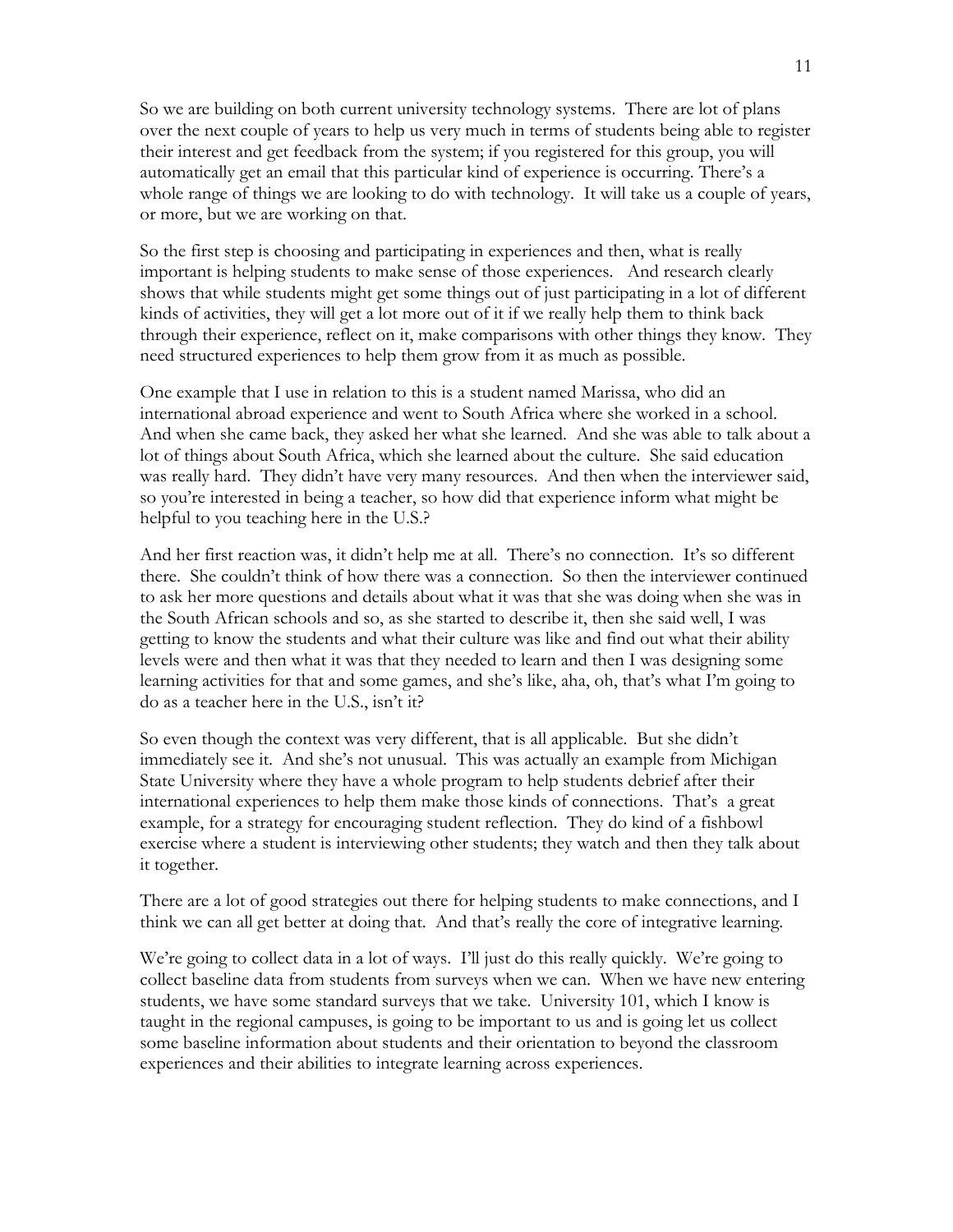So we are building on both current university technology systems. There are lot of plans over the next couple of years to help us very much in terms of students being able to register their interest and get feedback from the system; if you registered for this group, you will automatically get an email that this particular kind of experience is occurring. There's a whole range of things we are looking to do with technology. It will take us a couple of years, or more, but we are working on that.

So the first step is choosing and participating in experiences and then, what is really important is helping students to make sense of those experiences. And research clearly shows that while students might get some things out of just participating in a lot of different kinds of activities, they will get a lot more out of it if we really help them to think back through their experience, reflect on it, make comparisons with other things they know. They need structured experiences to help them grow from it as much as possible.

One example that I use in relation to this is a student named Marissa, who did an international abroad experience and went to South Africa where she worked in a school. And when she came back, they asked her what she learned. And she was able to talk about a lot of things about South Africa, which she learned about the culture. She said education was really hard. They didn't have very many resources. And then when the interviewer said, so you're interested in being a teacher, so how did that experience inform what might be helpful to you teaching here in the U.S.?

And her first reaction was, it didn't help me at all. There's no connection. It's so different there. She couldn't think of how there was a connection. So then the interviewer continued to ask her more questions and details about what it was that she was doing when she was in the South African schools and so, as she started to describe it, then she said well, I was getting to know the students and what their culture was like and find out what their ability levels were and then what it was that they needed to learn and then I was designing some learning activities for that and some games, and she's like, aha, oh, that's what I'm going to do as a teacher here in the U.S., isn't it?

So even though the context was very different, that is all applicable. But she didn't immediately see it. And she's not unusual. This was actually an example from Michigan State University where they have a whole program to help students debrief after their international experiences to help them make those kinds of connections. That's a great example, for a strategy for encouraging student reflection. They do kind of a fishbowl exercise where a student is interviewing other students; they watch and then they talk about it together.

There are a lot of good strategies out there for helping students to make connections, and I think we can all get better at doing that. And that's really the core of integrative learning.

We're going to collect data in a lot of ways. I'll just do this really quickly. We're going to collect baseline data from students from surveys when we can. When we have new entering students, we have some standard surveys that we take. University 101, which I know is taught in the regional campuses, is going to be important to us and is going let us collect some baseline information about students and their orientation to beyond the classroom experiences and their abilities to integrate learning across experiences.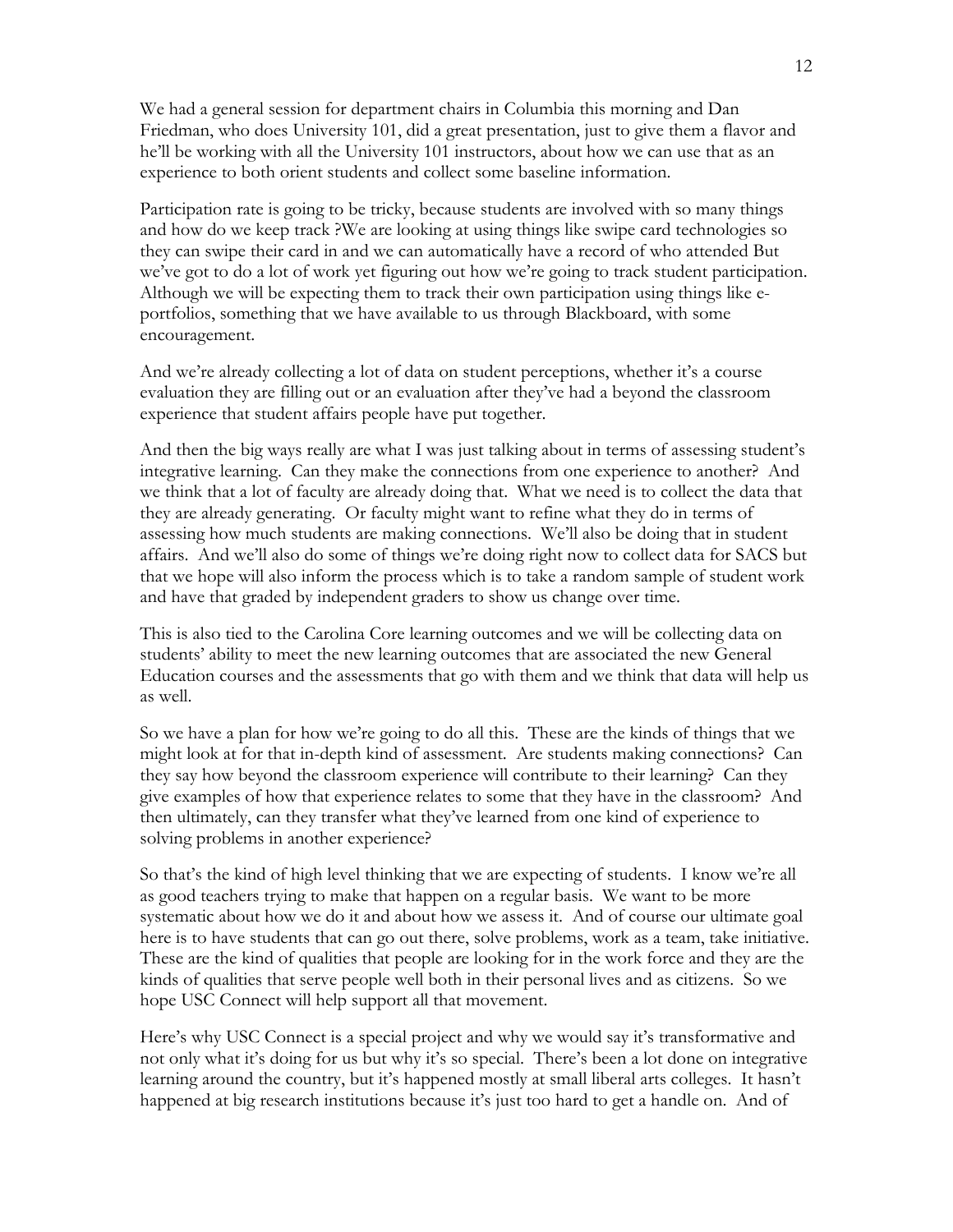We had a general session for department chairs in Columbia this morning and Dan Friedman, who does University 101, did a great presentation, just to give them a flavor and he'll be working with all the University 101 instructors, about how we can use that as an experience to both orient students and collect some baseline information.

Participation rate is going to be tricky, because students are involved with so many things and how do we keep track ?We are looking at using things like swipe card technologies so they can swipe their card in and we can automatically have a record of who attended But we've got to do a lot of work yet figuring out how we're going to track student participation. Although we will be expecting them to track their own participation using things like eportfolios, something that we have available to us through Blackboard, with some encouragement.

And we're already collecting a lot of data on student perceptions, whether it's a course evaluation they are filling out or an evaluation after they've had a beyond the classroom experience that student affairs people have put together.

And then the big ways really are what I was just talking about in terms of assessing student's integrative learning. Can they make the connections from one experience to another? And we think that a lot of faculty are already doing that. What we need is to collect the data that they are already generating. Or faculty might want to refine what they do in terms of assessing how much students are making connections. We'll also be doing that in student affairs. And we'll also do some of things we're doing right now to collect data for SACS but that we hope will also inform the process which is to take a random sample of student work and have that graded by independent graders to show us change over time.

This is also tied to the Carolina Core learning outcomes and we will be collecting data on students' ability to meet the new learning outcomes that are associated the new General Education courses and the assessments that go with them and we think that data will help us as well.

So we have a plan for how we're going to do all this. These are the kinds of things that we might look at for that in-depth kind of assessment. Are students making connections? Can they say how beyond the classroom experience will contribute to their learning? Can they give examples of how that experience relates to some that they have in the classroom? And then ultimately, can they transfer what they've learned from one kind of experience to solving problems in another experience?

So that's the kind of high level thinking that we are expecting of students. I know we're all as good teachers trying to make that happen on a regular basis. We want to be more systematic about how we do it and about how we assess it. And of course our ultimate goal here is to have students that can go out there, solve problems, work as a team, take initiative. These are the kind of qualities that people are looking for in the work force and they are the kinds of qualities that serve people well both in their personal lives and as citizens. So we hope USC Connect will help support all that movement.

Here's why USC Connect is a special project and why we would say it's transformative and not only what it's doing for us but why it's so special. There's been a lot done on integrative learning around the country, but it's happened mostly at small liberal arts colleges. It hasn't happened at big research institutions because it's just too hard to get a handle on. And of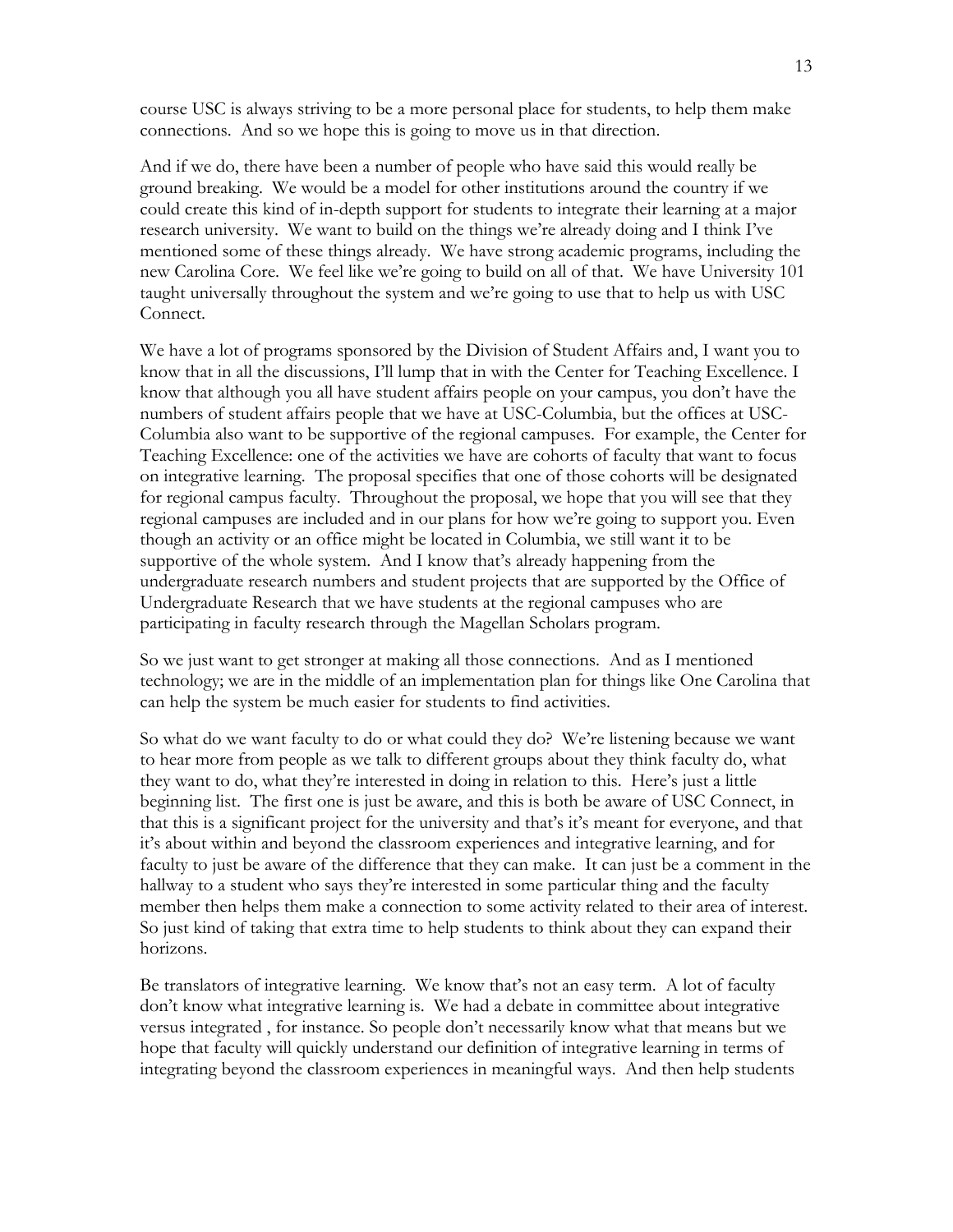course USC is always striving to be a more personal place for students, to help them make connections. And so we hope this is going to move us in that direction.

And if we do, there have been a number of people who have said this would really be ground breaking. We would be a model for other institutions around the country if we could create this kind of in-depth support for students to integrate their learning at a major research university. We want to build on the things we're already doing and I think I've mentioned some of these things already. We have strong academic programs, including the new Carolina Core. We feel like we're going to build on all of that. We have University 101 taught universally throughout the system and we're going to use that to help us with USC Connect.

We have a lot of programs sponsored by the Division of Student Affairs and, I want you to know that in all the discussions, I'll lump that in with the Center for Teaching Excellence. I know that although you all have student affairs people on your campus, you don't have the numbers of student affairs people that we have at USC-Columbia, but the offices at USC-Columbia also want to be supportive of the regional campuses. For example, the Center for Teaching Excellence: one of the activities we have are cohorts of faculty that want to focus on integrative learning. The proposal specifies that one of those cohorts will be designated for regional campus faculty. Throughout the proposal, we hope that you will see that they regional campuses are included and in our plans for how we're going to support you. Even though an activity or an office might be located in Columbia, we still want it to be supportive of the whole system. And I know that's already happening from the undergraduate research numbers and student projects that are supported by the Office of Undergraduate Research that we have students at the regional campuses who are participating in faculty research through the Magellan Scholars program.

So we just want to get stronger at making all those connections. And as I mentioned technology; we are in the middle of an implementation plan for things like One Carolina that can help the system be much easier for students to find activities.

So what do we want faculty to do or what could they do? We're listening because we want to hear more from people as we talk to different groups about they think faculty do, what they want to do, what they're interested in doing in relation to this. Here's just a little beginning list. The first one is just be aware, and this is both be aware of USC Connect, in that this is a significant project for the university and that's it's meant for everyone, and that it's about within and beyond the classroom experiences and integrative learning, and for faculty to just be aware of the difference that they can make. It can just be a comment in the hallway to a student who says they're interested in some particular thing and the faculty member then helps them make a connection to some activity related to their area of interest. So just kind of taking that extra time to help students to think about they can expand their horizons.

Be translators of integrative learning. We know that's not an easy term. A lot of faculty don't know what integrative learning is. We had a debate in committee about integrative versus integrated , for instance. So people don't necessarily know what that means but we hope that faculty will quickly understand our definition of integrative learning in terms of integrating beyond the classroom experiences in meaningful ways. And then help students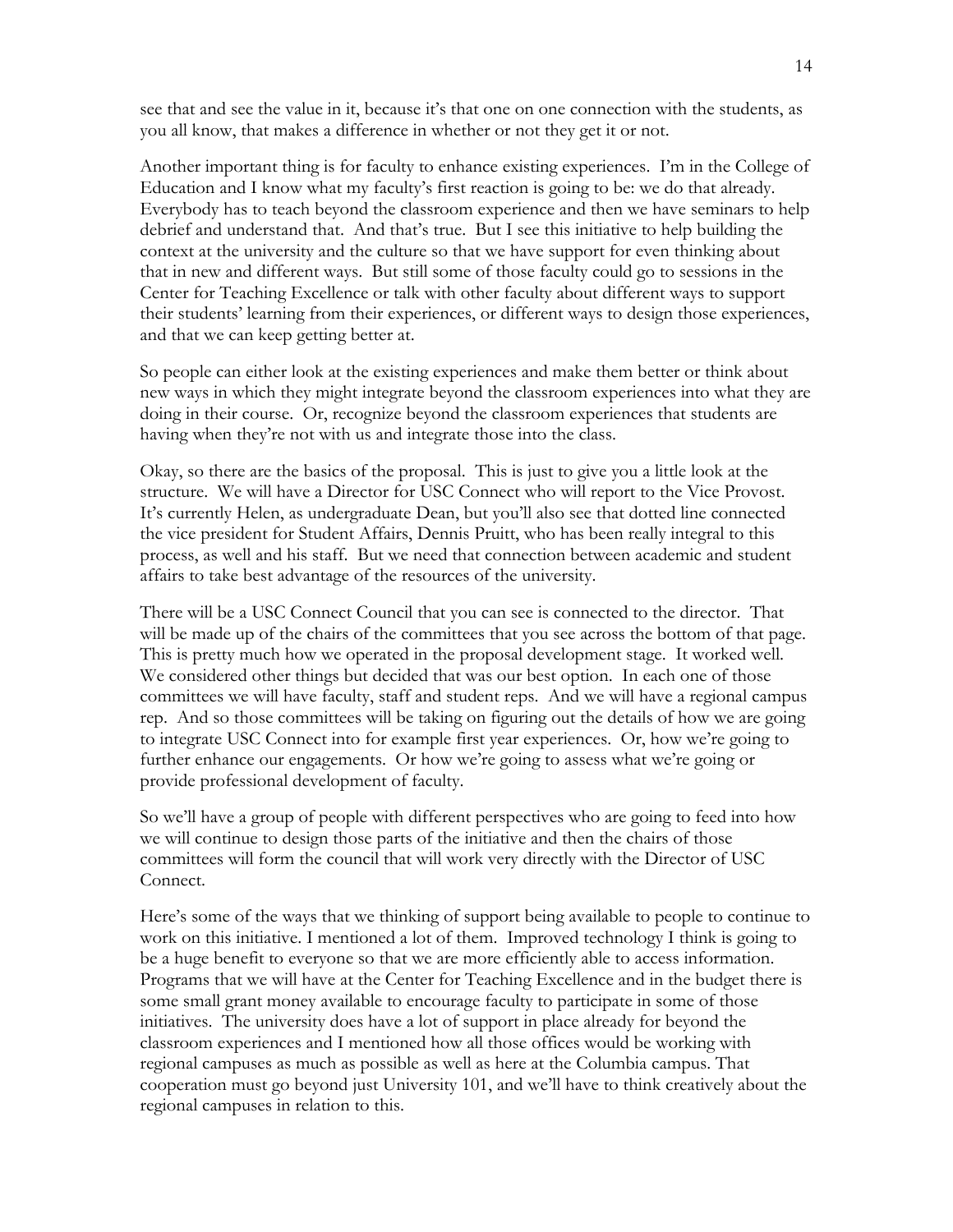see that and see the value in it, because it's that one on one connection with the students, as you all know, that makes a difference in whether or not they get it or not.

Another important thing is for faculty to enhance existing experiences. I'm in the College of Education and I know what my faculty's first reaction is going to be: we do that already. Everybody has to teach beyond the classroom experience and then we have seminars to help debrief and understand that. And that's true. But I see this initiative to help building the context at the university and the culture so that we have support for even thinking about that in new and different ways. But still some of those faculty could go to sessions in the Center for Teaching Excellence or talk with other faculty about different ways to support their students' learning from their experiences, or different ways to design those experiences, and that we can keep getting better at.

So people can either look at the existing experiences and make them better or think about new ways in which they might integrate beyond the classroom experiences into what they are doing in their course. Or, recognize beyond the classroom experiences that students are having when they're not with us and integrate those into the class.

Okay, so there are the basics of the proposal. This is just to give you a little look at the structure. We will have a Director for USC Connect who will report to the Vice Provost. It's currently Helen, as undergraduate Dean, but you'll also see that dotted line connected the vice president for Student Affairs, Dennis Pruitt, who has been really integral to this process, as well and his staff. But we need that connection between academic and student affairs to take best advantage of the resources of the university.

There will be a USC Connect Council that you can see is connected to the director. That will be made up of the chairs of the committees that you see across the bottom of that page. This is pretty much how we operated in the proposal development stage. It worked well. We considered other things but decided that was our best option. In each one of those committees we will have faculty, staff and student reps. And we will have a regional campus rep. And so those committees will be taking on figuring out the details of how we are going to integrate USC Connect into for example first year experiences. Or, how we're going to further enhance our engagements. Or how we're going to assess what we're going or provide professional development of faculty.

So we'll have a group of people with different perspectives who are going to feed into how we will continue to design those parts of the initiative and then the chairs of those committees will form the council that will work very directly with the Director of USC Connect.

Here's some of the ways that we thinking of support being available to people to continue to work on this initiative. I mentioned a lot of them. Improved technology I think is going to be a huge benefit to everyone so that we are more efficiently able to access information. Programs that we will have at the Center for Teaching Excellence and in the budget there is some small grant money available to encourage faculty to participate in some of those initiatives. The university does have a lot of support in place already for beyond the classroom experiences and I mentioned how all those offices would be working with regional campuses as much as possible as well as here at the Columbia campus. That cooperation must go beyond just University 101, and we'll have to think creatively about the regional campuses in relation to this.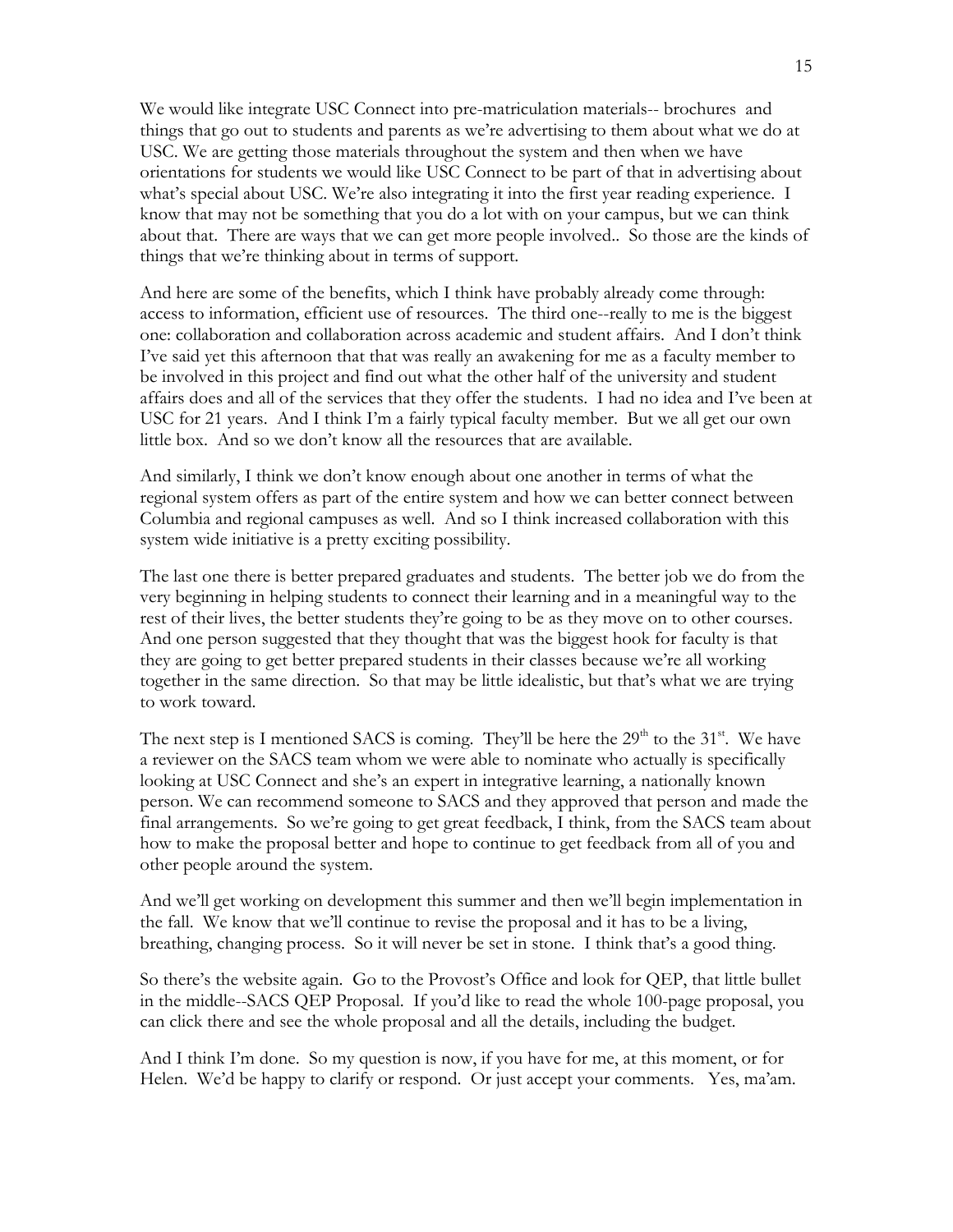We would like integrate USC Connect into pre-matriculation materials-- brochures and things that go out to students and parents as we're advertising to them about what we do at USC. We are getting those materials throughout the system and then when we have orientations for students we would like USC Connect to be part of that in advertising about what's special about USC. We're also integrating it into the first year reading experience. I know that may not be something that you do a lot with on your campus, but we can think about that. There are ways that we can get more people involved.. So those are the kinds of things that we're thinking about in terms of support.

And here are some of the benefits, which I think have probably already come through: access to information, efficient use of resources. The third one--really to me is the biggest one: collaboration and collaboration across academic and student affairs. And I don't think I've said yet this afternoon that that was really an awakening for me as a faculty member to be involved in this project and find out what the other half of the university and student affairs does and all of the services that they offer the students. I had no idea and I've been at USC for 21 years. And I think I'm a fairly typical faculty member. But we all get our own little box. And so we don't know all the resources that are available.

And similarly, I think we don't know enough about one another in terms of what the regional system offers as part of the entire system and how we can better connect between Columbia and regional campuses as well. And so I think increased collaboration with this system wide initiative is a pretty exciting possibility.

The last one there is better prepared graduates and students. The better job we do from the very beginning in helping students to connect their learning and in a meaningful way to the rest of their lives, the better students they're going to be as they move on to other courses. And one person suggested that they thought that was the biggest hook for faculty is that they are going to get better prepared students in their classes because we're all working together in the same direction. So that may be little idealistic, but that's what we are trying to work toward.

The next step is I mentioned SACS is coming. They'll be here the  $29<sup>th</sup>$  to the  $31<sup>st</sup>$ . We have a reviewer on the SACS team whom we were able to nominate who actually is specifically looking at USC Connect and she's an expert in integrative learning, a nationally known person. We can recommend someone to SACS and they approved that person and made the final arrangements. So we're going to get great feedback, I think, from the SACS team about how to make the proposal better and hope to continue to get feedback from all of you and other people around the system.

And we'll get working on development this summer and then we'll begin implementation in the fall. We know that we'll continue to revise the proposal and it has to be a living, breathing, changing process. So it will never be set in stone. I think that's a good thing.

So there's the website again. Go to the Provost's Office and look for QEP, that little bullet in the middle--SACS QEP Proposal. If you'd like to read the whole 100-page proposal, you can click there and see the whole proposal and all the details, including the budget.

And I think I'm done. So my question is now, if you have for me, at this moment, or for Helen. We'd be happy to clarify or respond. Or just accept your comments. Yes, ma'am.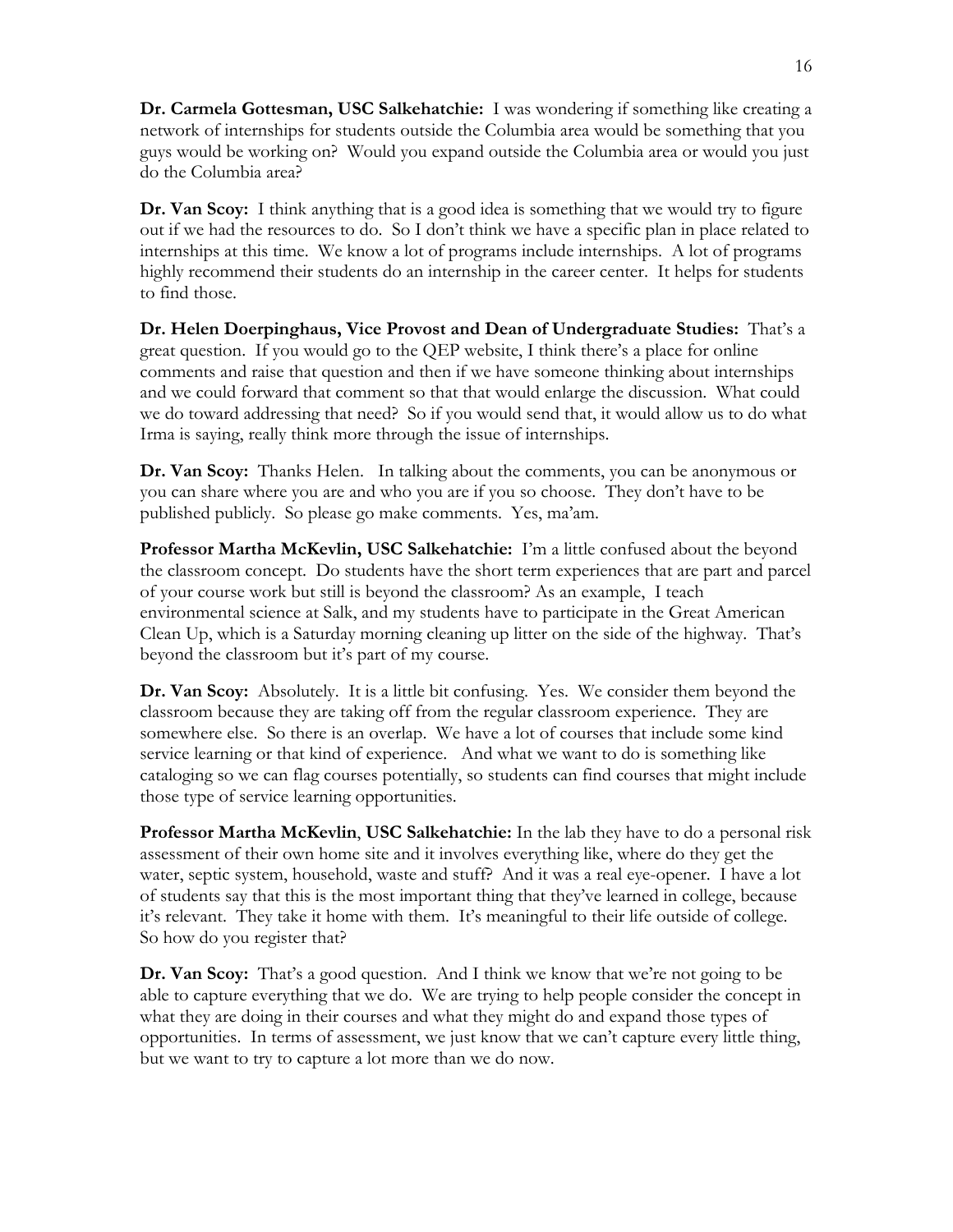**Dr. Carmela Gottesman, USC Salkehatchie:** I was wondering if something like creating a network of internships for students outside the Columbia area would be something that you guys would be working on? Would you expand outside the Columbia area or would you just do the Columbia area?

**Dr. Van Scoy:** I think anything that is a good idea is something that we would try to figure out if we had the resources to do. So I don't think we have a specific plan in place related to internships at this time. We know a lot of programs include internships. A lot of programs highly recommend their students do an internship in the career center. It helps for students to find those.

**Dr. Helen Doerpinghaus, Vice Provost and Dean of Undergraduate Studies:** That's a great question. If you would go to the QEP website, I think there's a place for online comments and raise that question and then if we have someone thinking about internships and we could forward that comment so that that would enlarge the discussion. What could we do toward addressing that need? So if you would send that, it would allow us to do what Irma is saying, really think more through the issue of internships.

**Dr. Van Scoy:** Thanks Helen. In talking about the comments, you can be anonymous or you can share where you are and who you are if you so choose. They don't have to be published publicly. So please go make comments. Yes, ma'am.

**Professor Martha McKevlin, USC Salkehatchie:** I'm a little confused about the beyond the classroom concept. Do students have the short term experiences that are part and parcel of your course work but still is beyond the classroom? As an example, I teach environmental science at Salk, and my students have to participate in the Great American Clean Up, which is a Saturday morning cleaning up litter on the side of the highway. That's beyond the classroom but it's part of my course.

**Dr. Van Scoy:** Absolutely. It is a little bit confusing. Yes. We consider them beyond the classroom because they are taking off from the regular classroom experience. They are somewhere else. So there is an overlap. We have a lot of courses that include some kind service learning or that kind of experience. And what we want to do is something like cataloging so we can flag courses potentially, so students can find courses that might include those type of service learning opportunities.

**Professor Martha McKevlin**, **USC Salkehatchie:** In the lab they have to do a personal risk assessment of their own home site and it involves everything like, where do they get the water, septic system, household, waste and stuff? And it was a real eye-opener. I have a lot of students say that this is the most important thing that they've learned in college, because it's relevant. They take it home with them. It's meaningful to their life outside of college. So how do you register that?

**Dr. Van Scoy:** That's a good question. And I think we know that we're not going to be able to capture everything that we do. We are trying to help people consider the concept in what they are doing in their courses and what they might do and expand those types of opportunities. In terms of assessment, we just know that we can't capture every little thing, but we want to try to capture a lot more than we do now.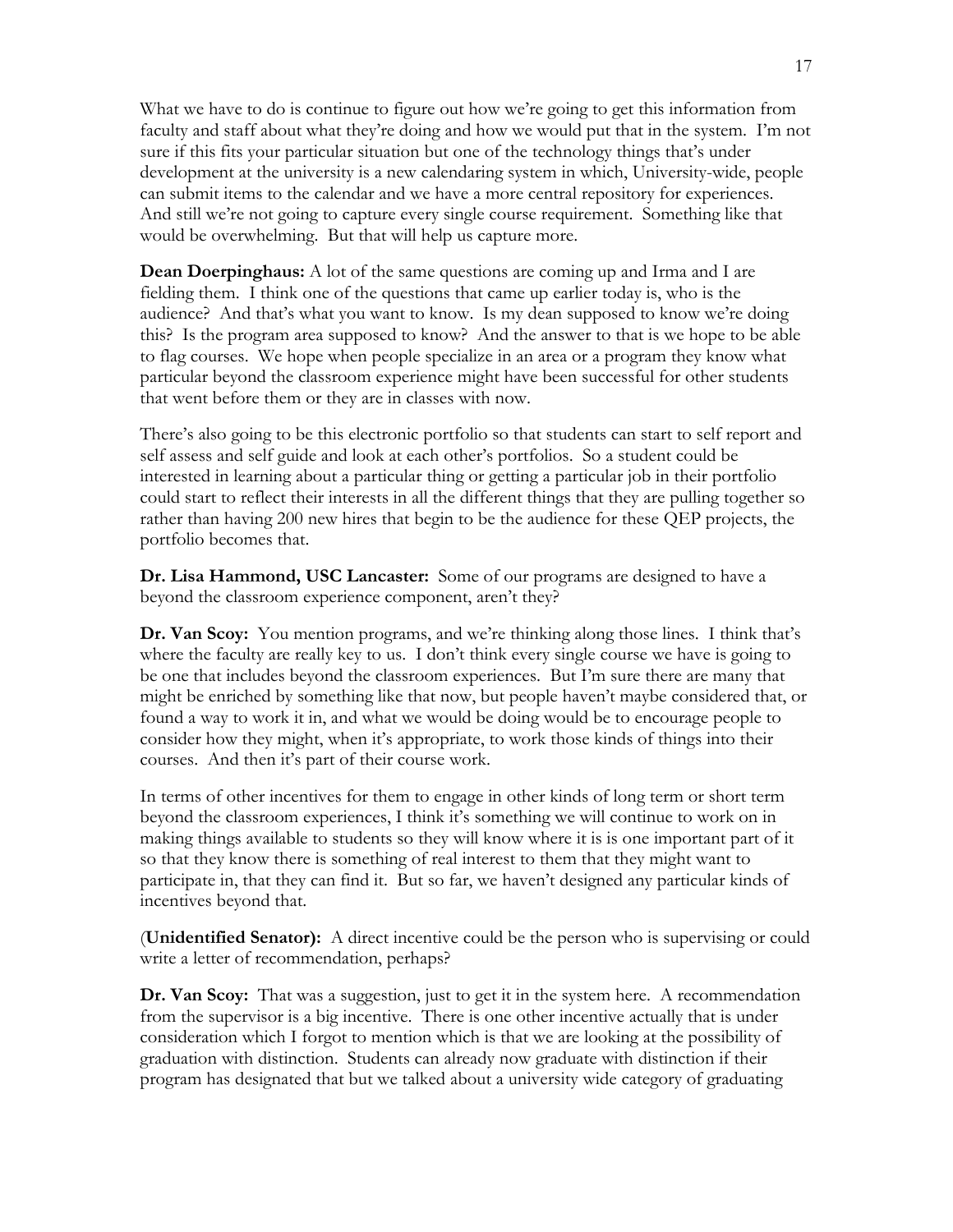What we have to do is continue to figure out how we're going to get this information from faculty and staff about what they're doing and how we would put that in the system. I'm not sure if this fits your particular situation but one of the technology things that's under development at the university is a new calendaring system in which, University-wide, people can submit items to the calendar and we have a more central repository for experiences. And still we're not going to capture every single course requirement. Something like that would be overwhelming. But that will help us capture more.

**Dean Doerpinghaus:** A lot of the same questions are coming up and Irma and I are fielding them. I think one of the questions that came up earlier today is, who is the audience? And that's what you want to know. Is my dean supposed to know we're doing this? Is the program area supposed to know? And the answer to that is we hope to be able to flag courses. We hope when people specialize in an area or a program they know what particular beyond the classroom experience might have been successful for other students that went before them or they are in classes with now.

There's also going to be this electronic portfolio so that students can start to self report and self assess and self guide and look at each other's portfolios. So a student could be interested in learning about a particular thing or getting a particular job in their portfolio could start to reflect their interests in all the different things that they are pulling together so rather than having 200 new hires that begin to be the audience for these QEP projects, the portfolio becomes that.

**Dr. Lisa Hammond, USC Lancaster:** Some of our programs are designed to have a beyond the classroom experience component, aren't they?

**Dr. Van Scoy:** You mention programs, and we're thinking along those lines. I think that's where the faculty are really key to us. I don't think every single course we have is going to be one that includes beyond the classroom experiences. But I'm sure there are many that might be enriched by something like that now, but people haven't maybe considered that, or found a way to work it in, and what we would be doing would be to encourage people to consider how they might, when it's appropriate, to work those kinds of things into their courses. And then it's part of their course work.

In terms of other incentives for them to engage in other kinds of long term or short term beyond the classroom experiences, I think it's something we will continue to work on in making things available to students so they will know where it is is one important part of it so that they know there is something of real interest to them that they might want to participate in, that they can find it. But so far, we haven't designed any particular kinds of incentives beyond that.

(**Unidentified Senator):** A direct incentive could be the person who is supervising or could write a letter of recommendation, perhaps?

**Dr. Van Scoy:** That was a suggestion, just to get it in the system here. A recommendation from the supervisor is a big incentive. There is one other incentive actually that is under consideration which I forgot to mention which is that we are looking at the possibility of graduation with distinction. Students can already now graduate with distinction if their program has designated that but we talked about a university wide category of graduating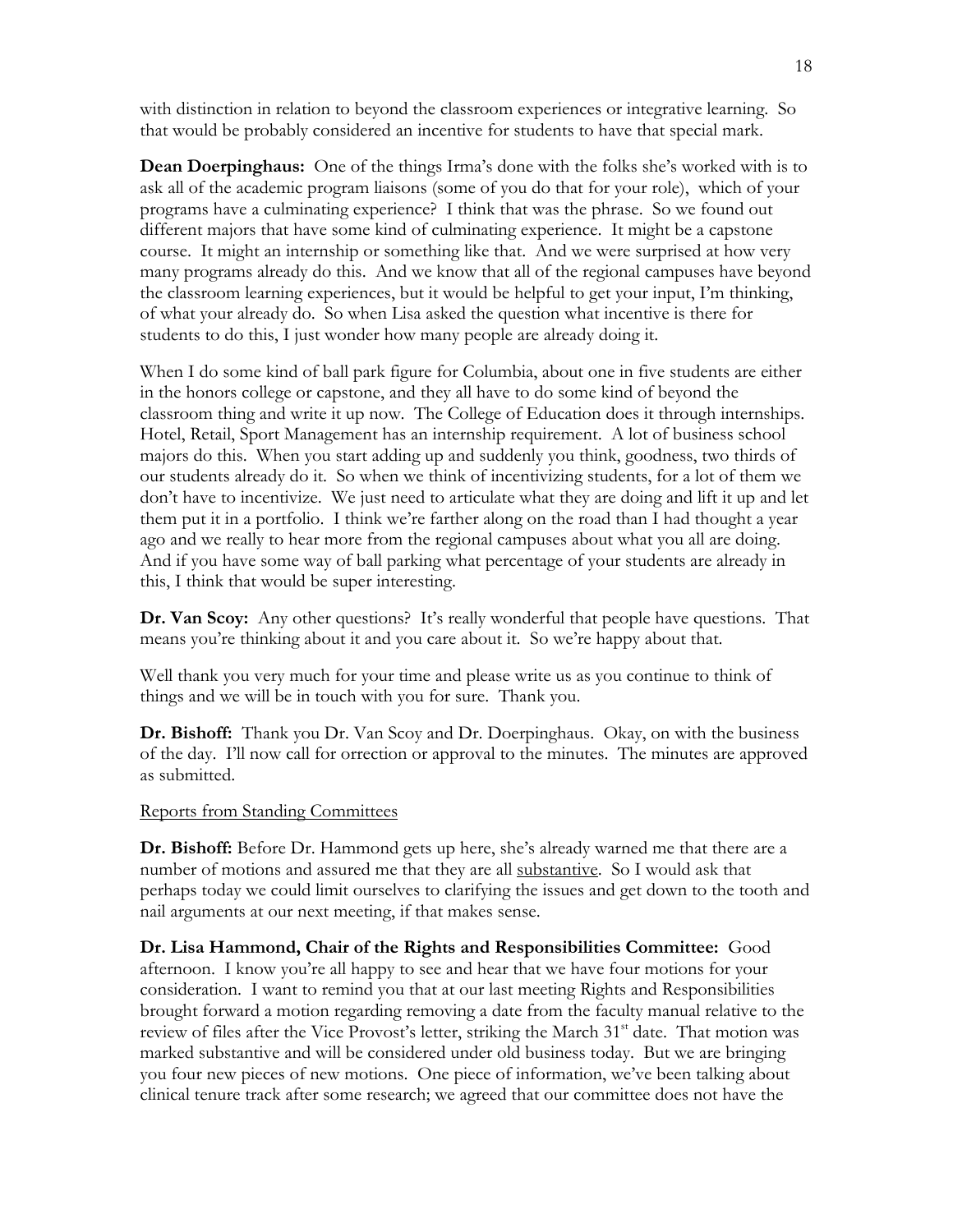with distinction in relation to beyond the classroom experiences or integrative learning. So that would be probably considered an incentive for students to have that special mark.

**Dean Doerpinghaus:** One of the things Irma's done with the folks she's worked with is to ask all of the academic program liaisons (some of you do that for your role), which of your programs have a culminating experience? I think that was the phrase. So we found out different majors that have some kind of culminating experience. It might be a capstone course. It might an internship or something like that. And we were surprised at how very many programs already do this. And we know that all of the regional campuses have beyond the classroom learning experiences, but it would be helpful to get your input, I'm thinking, of what your already do. So when Lisa asked the question what incentive is there for students to do this, I just wonder how many people are already doing it.

When I do some kind of ball park figure for Columbia, about one in five students are either in the honors college or capstone, and they all have to do some kind of beyond the classroom thing and write it up now. The College of Education does it through internships. Hotel, Retail, Sport Management has an internship requirement. A lot of business school majors do this. When you start adding up and suddenly you think, goodness, two thirds of our students already do it. So when we think of incentivizing students, for a lot of them we don't have to incentivize. We just need to articulate what they are doing and lift it up and let them put it in a portfolio. I think we're farther along on the road than I had thought a year ago and we really to hear more from the regional campuses about what you all are doing. And if you have some way of ball parking what percentage of your students are already in this, I think that would be super interesting.

**Dr. Van Scoy:** Any other questions? It's really wonderful that people have questions. That means you're thinking about it and you care about it. So we're happy about that.

Well thank you very much for your time and please write us as you continue to think of things and we will be in touch with you for sure. Thank you.

**Dr. Bishoff:** Thank you Dr. Van Scoy and Dr. Doerpinghaus. Okay, on with the business of the day. I'll now call for orrection or approval to the minutes. The minutes are approved as submitted.

#### Reports from Standing Committees

**Dr. Bishoff:** Before Dr. Hammond gets up here, she's already warned me that there are a number of motions and assured me that they are all substantive. So I would ask that perhaps today we could limit ourselves to clarifying the issues and get down to the tooth and nail arguments at our next meeting, if that makes sense.

**Dr. Lisa Hammond, Chair of the Rights and Responsibilities Committee:** Good afternoon. I know you're all happy to see and hear that we have four motions for your consideration. I want to remind you that at our last meeting Rights and Responsibilities brought forward a motion regarding removing a date from the faculty manual relative to the review of files after the Vice Provost's letter, striking the March  $31<sup>st</sup>$  date. That motion was marked substantive and will be considered under old business today. But we are bringing you four new pieces of new motions. One piece of information, we've been talking about clinical tenure track after some research; we agreed that our committee does not have the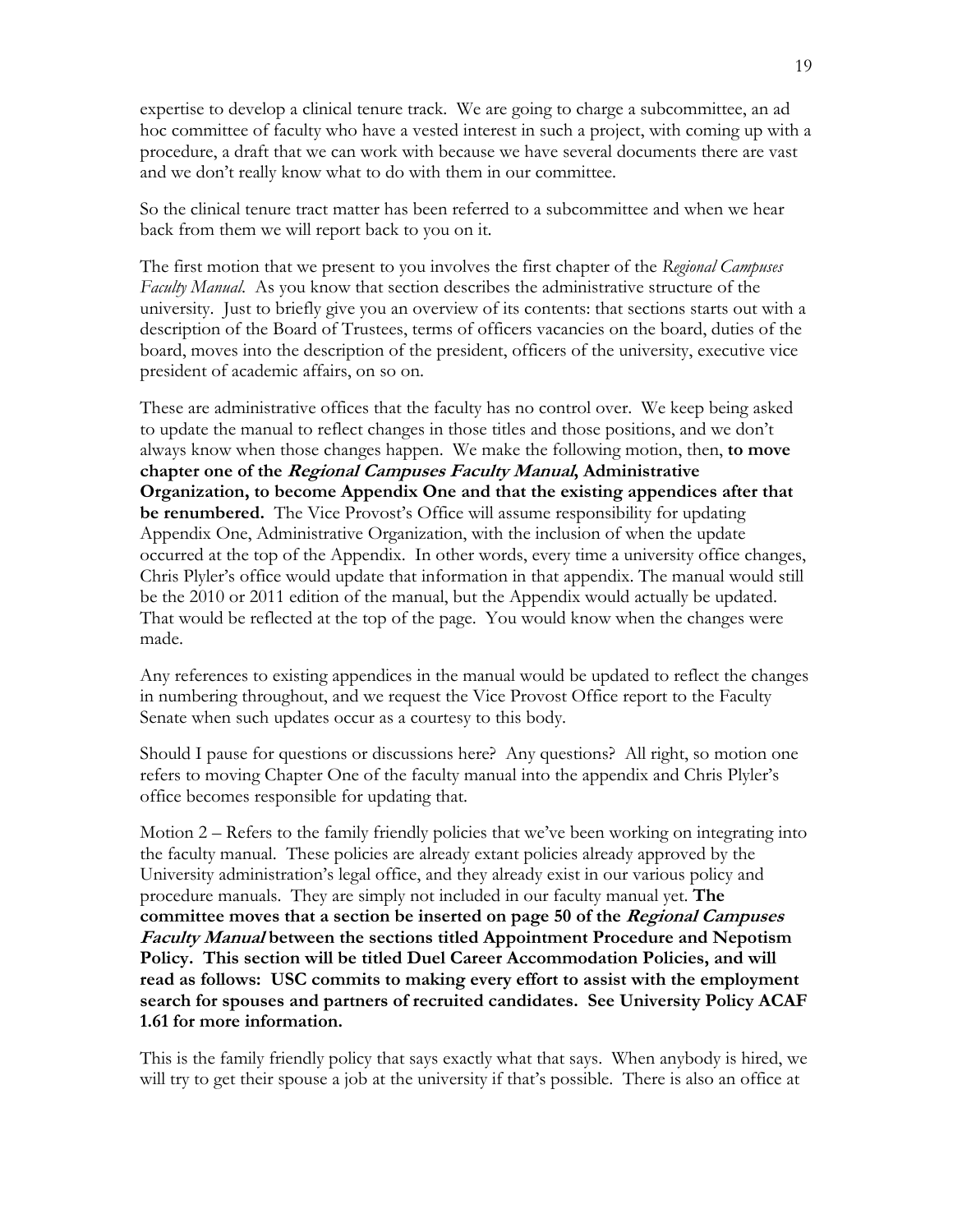expertise to develop a clinical tenure track. We are going to charge a subcommittee, an ad hoc committee of faculty who have a vested interest in such a project, with coming up with a procedure, a draft that we can work with because we have several documents there are vast and we don't really know what to do with them in our committee.

So the clinical tenure tract matter has been referred to a subcommittee and when we hear back from them we will report back to you on it.

The first motion that we present to you involves the first chapter of the *Regional Campuses Faculty Manual*. As you know that section describes the administrative structure of the university. Just to briefly give you an overview of its contents: that sections starts out with a description of the Board of Trustees, terms of officers vacancies on the board, duties of the board, moves into the description of the president, officers of the university, executive vice president of academic affairs, on so on.

These are administrative offices that the faculty has no control over. We keep being asked to update the manual to reflect changes in those titles and those positions, and we don't always know when those changes happen. We make the following motion, then, **to move chapter one of the Regional Campuses Faculty Manual, Administrative Organization, to become Appendix One and that the existing appendices after that be renumbered.** The Vice Provost's Office will assume responsibility for updating Appendix One, Administrative Organization, with the inclusion of when the update occurred at the top of the Appendix. In other words, every time a university office changes, Chris Plyler's office would update that information in that appendix. The manual would still be the 2010 or 2011 edition of the manual, but the Appendix would actually be updated. That would be reflected at the top of the page. You would know when the changes were made.

Any references to existing appendices in the manual would be updated to reflect the changes in numbering throughout, and we request the Vice Provost Office report to the Faculty Senate when such updates occur as a courtesy to this body.

Should I pause for questions or discussions here? Any questions? All right, so motion one refers to moving Chapter One of the faculty manual into the appendix and Chris Plyler's office becomes responsible for updating that.

Motion 2 – Refers to the family friendly policies that we've been working on integrating into the faculty manual. These policies are already extant policies already approved by the University administration's legal office, and they already exist in our various policy and procedure manuals. They are simply not included in our faculty manual yet. **The committee moves that a section be inserted on page 50 of the Regional Campuses Faculty Manual between the sections titled Appointment Procedure and Nepotism Policy. This section will be titled Duel Career Accommodation Policies, and will read as follows: USC commits to making every effort to assist with the employment search for spouses and partners of recruited candidates. See University Policy ACAF 1.61 for more information.**

This is the family friendly policy that says exactly what that says. When anybody is hired, we will try to get their spouse a job at the university if that's possible. There is also an office at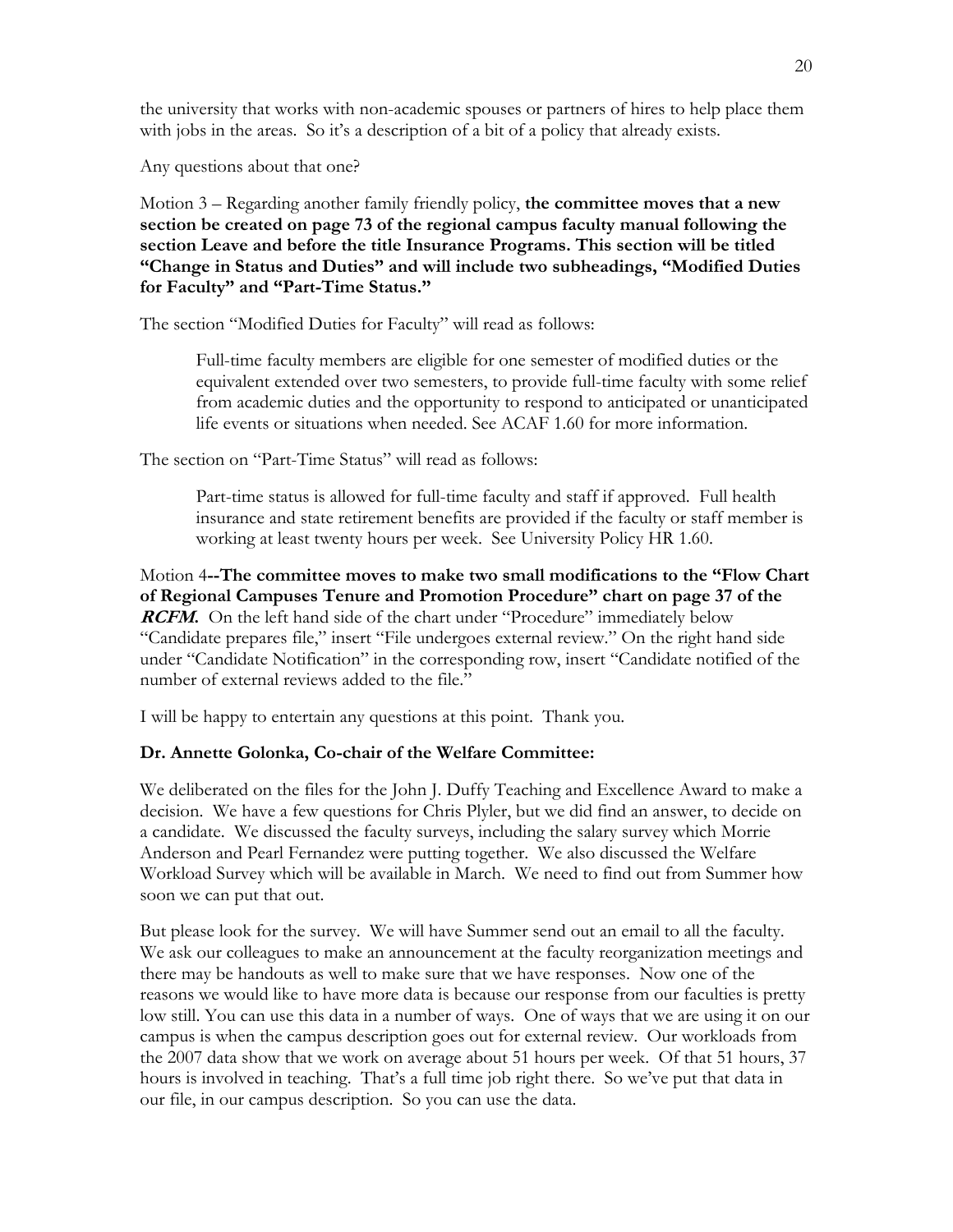the university that works with non-academic spouses or partners of hires to help place them with jobs in the areas. So it's a description of a bit of a policy that already exists.

Any questions about that one?

Motion 3 – Regarding another family friendly policy, **the committee moves that a new section be created on page 73 of the regional campus faculty manual following the section Leave and before the title Insurance Programs. This section will be titled "Change in Status and Duties" and will include two subheadings, "Modified Duties for Faculty" and "Part-Time Status."** 

The section "Modified Duties for Faculty" will read as follows:

Full-time faculty members are eligible for one semester of modified duties or the equivalent extended over two semesters, to provide full-time faculty with some relief from academic duties and the opportunity to respond to anticipated or unanticipated life events or situations when needed. See ACAF 1.60 for more information.

The section on "Part-Time Status" will read as follows:

Part-time status is allowed for full-time faculty and staff if approved. Full health insurance and state retirement benefits are provided if the faculty or staff member is working at least twenty hours per week. See University Policy HR 1.60.

Motion 4**--The committee moves to make two small modifications to the "Flow Chart of Regional Campuses Tenure and Promotion Procedure" chart on page 37 of the RCFM.** On the left hand side of the chart under "Procedure" immediately below "Candidate prepares file," insert "File undergoes external review." On the right hand side under "Candidate Notification" in the corresponding row, insert "Candidate notified of the number of external reviews added to the file."

I will be happy to entertain any questions at this point. Thank you.

### **Dr. Annette Golonka, Co-chair of the Welfare Committee:**

We deliberated on the files for the John J. Duffy Teaching and Excellence Award to make a decision. We have a few questions for Chris Plyler, but we did find an answer, to decide on a candidate. We discussed the faculty surveys, including the salary survey which Morrie Anderson and Pearl Fernandez were putting together. We also discussed the Welfare Workload Survey which will be available in March. We need to find out from Summer how soon we can put that out.

But please look for the survey. We will have Summer send out an email to all the faculty. We ask our colleagues to make an announcement at the faculty reorganization meetings and there may be handouts as well to make sure that we have responses. Now one of the reasons we would like to have more data is because our response from our faculties is pretty low still. You can use this data in a number of ways. One of ways that we are using it on our campus is when the campus description goes out for external review. Our workloads from the 2007 data show that we work on average about 51 hours per week. Of that 51 hours, 37 hours is involved in teaching. That's a full time job right there. So we've put that data in our file, in our campus description. So you can use the data.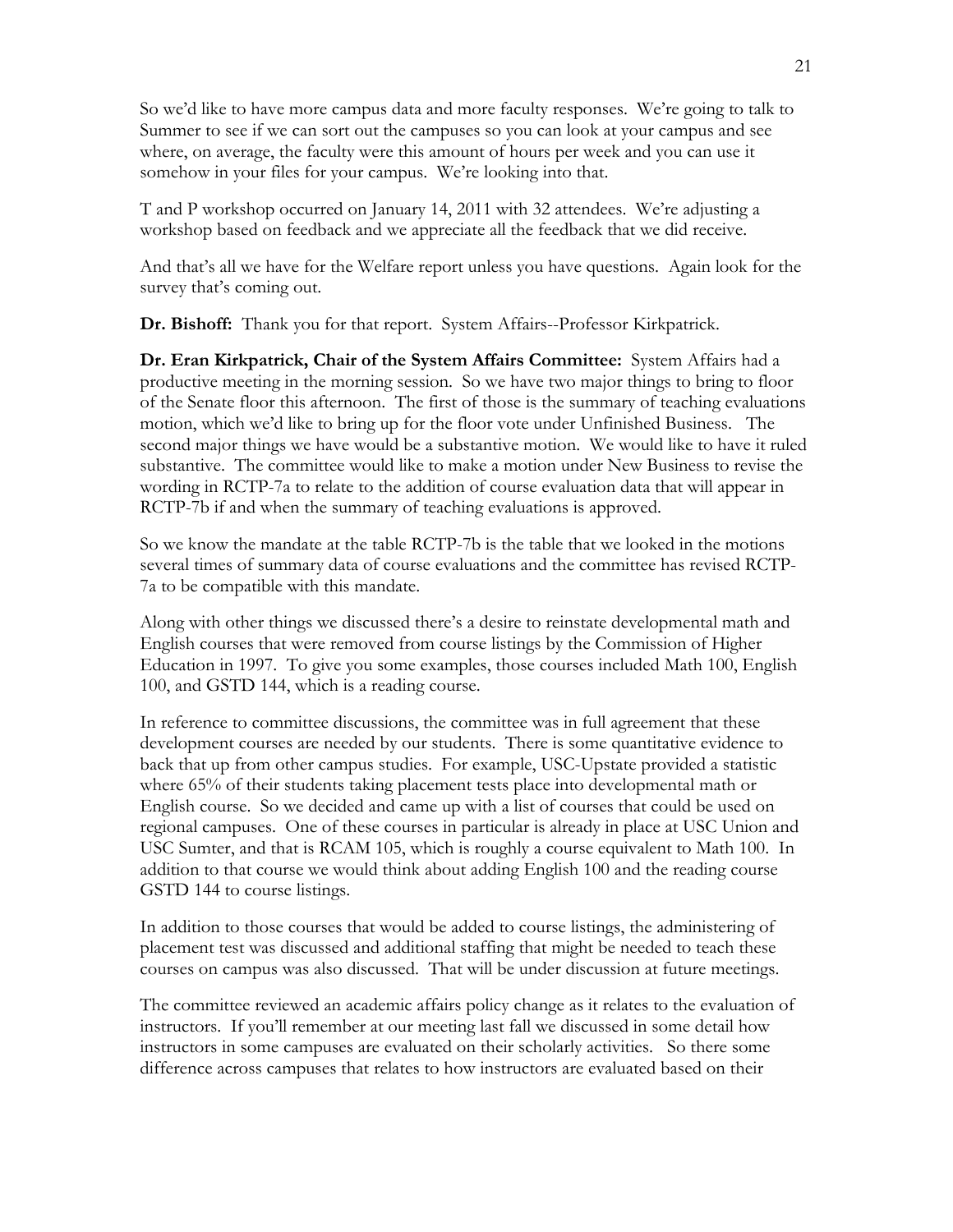So we'd like to have more campus data and more faculty responses. We're going to talk to Summer to see if we can sort out the campuses so you can look at your campus and see where, on average, the faculty were this amount of hours per week and you can use it somehow in your files for your campus. We're looking into that.

T and P workshop occurred on January 14, 2011 with 32 attendees. We're adjusting a workshop based on feedback and we appreciate all the feedback that we did receive.

And that's all we have for the Welfare report unless you have questions. Again look for the survey that's coming out.

**Dr. Bishoff:** Thank you for that report. System Affairs--Professor Kirkpatrick.

**Dr. Eran Kirkpatrick, Chair of the System Affairs Committee:** System Affairs had a productive meeting in the morning session. So we have two major things to bring to floor of the Senate floor this afternoon. The first of those is the summary of teaching evaluations motion, which we'd like to bring up for the floor vote under Unfinished Business. The second major things we have would be a substantive motion. We would like to have it ruled substantive. The committee would like to make a motion under New Business to revise the wording in RCTP-7a to relate to the addition of course evaluation data that will appear in RCTP-7b if and when the summary of teaching evaluations is approved.

So we know the mandate at the table RCTP-7b is the table that we looked in the motions several times of summary data of course evaluations and the committee has revised RCTP-7a to be compatible with this mandate.

Along with other things we discussed there's a desire to reinstate developmental math and English courses that were removed from course listings by the Commission of Higher Education in 1997. To give you some examples, those courses included Math 100, English 100, and GSTD 144, which is a reading course.

In reference to committee discussions, the committee was in full agreement that these development courses are needed by our students. There is some quantitative evidence to back that up from other campus studies. For example, USC-Upstate provided a statistic where 65% of their students taking placement tests place into developmental math or English course. So we decided and came up with a list of courses that could be used on regional campuses. One of these courses in particular is already in place at USC Union and USC Sumter, and that is RCAM 105, which is roughly a course equivalent to Math 100. In addition to that course we would think about adding English 100 and the reading course GSTD 144 to course listings.

In addition to those courses that would be added to course listings, the administering of placement test was discussed and additional staffing that might be needed to teach these courses on campus was also discussed. That will be under discussion at future meetings.

The committee reviewed an academic affairs policy change as it relates to the evaluation of instructors. If you'll remember at our meeting last fall we discussed in some detail how instructors in some campuses are evaluated on their scholarly activities. So there some difference across campuses that relates to how instructors are evaluated based on their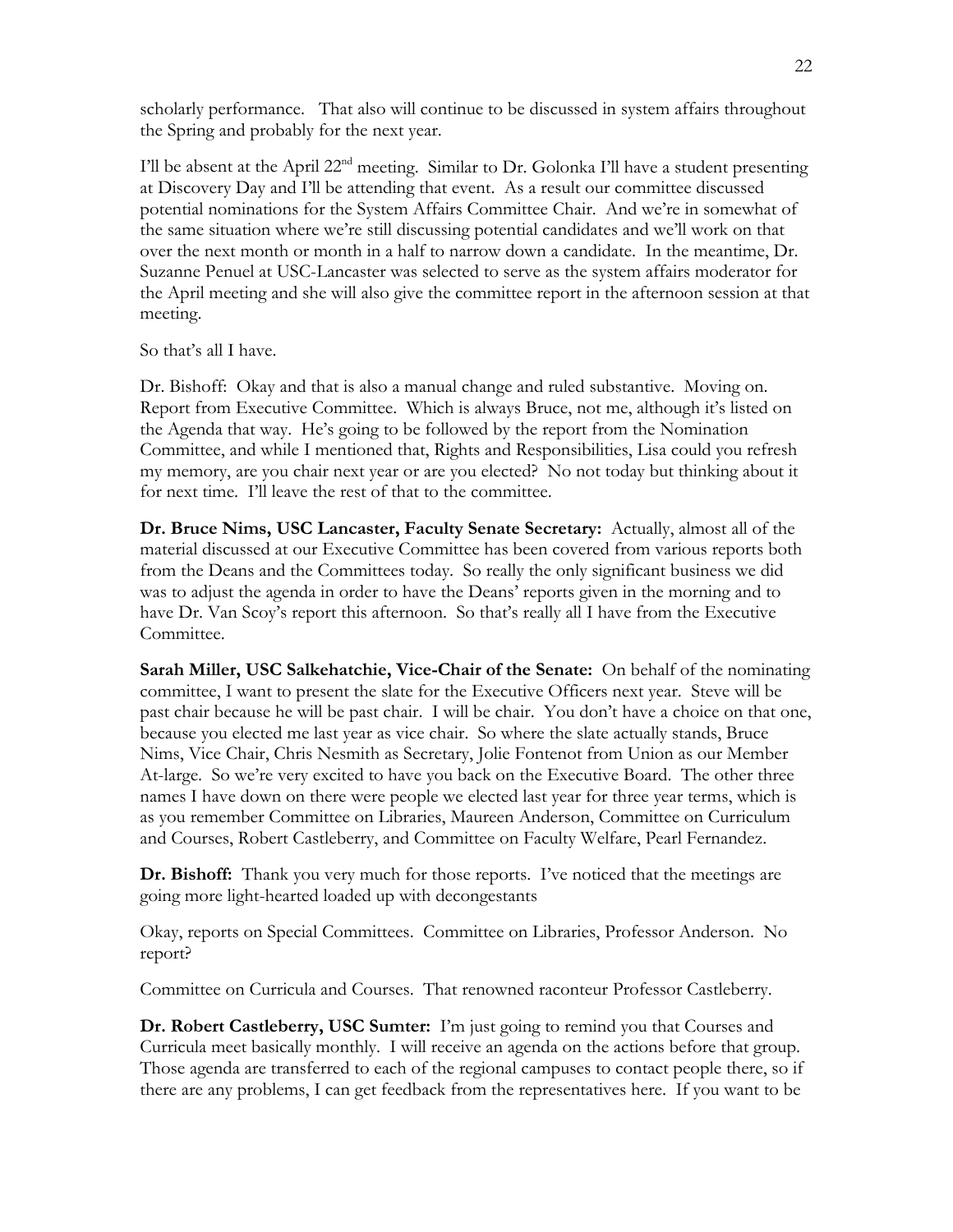scholarly performance. That also will continue to be discussed in system affairs throughout the Spring and probably for the next year.

I'll be absent at the April  $22<sup>nd</sup>$  meeting. Similar to Dr. Golonka I'll have a student presenting at Discovery Day and I'll be attending that event. As a result our committee discussed potential nominations for the System Affairs Committee Chair. And we're in somewhat of the same situation where we're still discussing potential candidates and we'll work on that over the next month or month in a half to narrow down a candidate. In the meantime, Dr. Suzanne Penuel at USC-Lancaster was selected to serve as the system affairs moderator for the April meeting and she will also give the committee report in the afternoon session at that meeting.

So that's all I have.

Dr. Bishoff: Okay and that is also a manual change and ruled substantive. Moving on. Report from Executive Committee. Which is always Bruce, not me, although it's listed on the Agenda that way. He's going to be followed by the report from the Nomination Committee, and while I mentioned that, Rights and Responsibilities, Lisa could you refresh my memory, are you chair next year or are you elected? No not today but thinking about it for next time. I'll leave the rest of that to the committee.

**Dr. Bruce Nims, USC Lancaster, Faculty Senate Secretary:** Actually, almost all of the material discussed at our Executive Committee has been covered from various reports both from the Deans and the Committees today. So really the only significant business we did was to adjust the agenda in order to have the Deans' reports given in the morning and to have Dr. Van Scoy's report this afternoon. So that's really all I have from the Executive Committee.

**Sarah Miller, USC Salkehatchie, Vice-Chair of the Senate:** On behalf of the nominating committee, I want to present the slate for the Executive Officers next year. Steve will be past chair because he will be past chair. I will be chair. You don't have a choice on that one, because you elected me last year as vice chair. So where the slate actually stands, Bruce Nims, Vice Chair, Chris Nesmith as Secretary, Jolie Fontenot from Union as our Member At-large. So we're very excited to have you back on the Executive Board. The other three names I have down on there were people we elected last year for three year terms, which is as you remember Committee on Libraries, Maureen Anderson, Committee on Curriculum and Courses, Robert Castleberry, and Committee on Faculty Welfare, Pearl Fernandez.

**Dr. Bishoff:** Thank you very much for those reports. I've noticed that the meetings are going more light-hearted loaded up with decongestants

Okay, reports on Special Committees. Committee on Libraries, Professor Anderson. No report?

Committee on Curricula and Courses. That renowned raconteur Professor Castleberry.

**Dr. Robert Castleberry, USC Sumter:** I'm just going to remind you that Courses and Curricula meet basically monthly. I will receive an agenda on the actions before that group. Those agenda are transferred to each of the regional campuses to contact people there, so if there are any problems, I can get feedback from the representatives here. If you want to be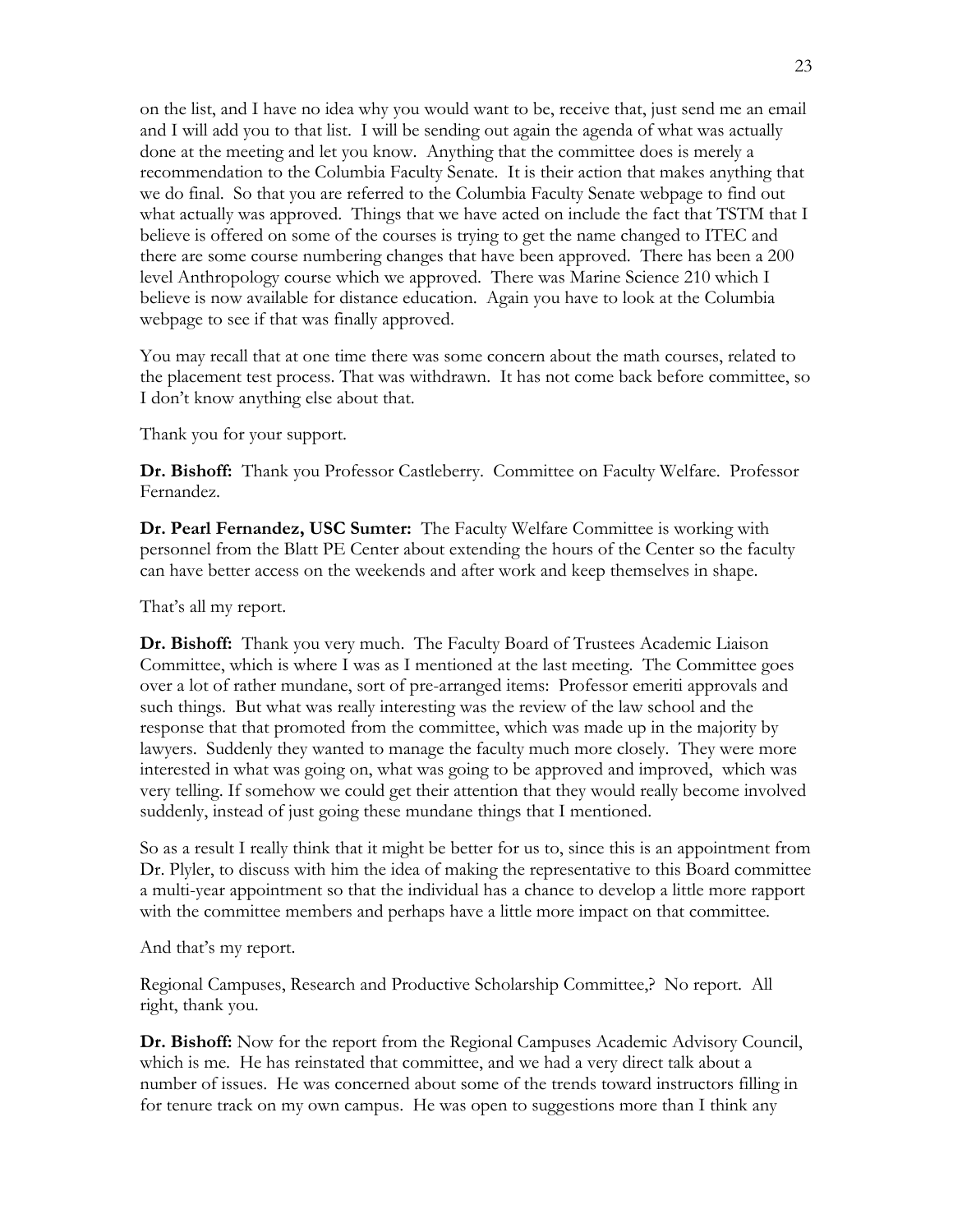on the list, and I have no idea why you would want to be, receive that, just send me an email and I will add you to that list. I will be sending out again the agenda of what was actually done at the meeting and let you know. Anything that the committee does is merely a recommendation to the Columbia Faculty Senate. It is their action that makes anything that we do final. So that you are referred to the Columbia Faculty Senate webpage to find out what actually was approved. Things that we have acted on include the fact that TSTM that I believe is offered on some of the courses is trying to get the name changed to ITEC and there are some course numbering changes that have been approved. There has been a 200 level Anthropology course which we approved. There was Marine Science 210 which I believe is now available for distance education. Again you have to look at the Columbia webpage to see if that was finally approved.

You may recall that at one time there was some concern about the math courses, related to the placement test process. That was withdrawn. It has not come back before committee, so I don't know anything else about that.

Thank you for your support.

**Dr. Bishoff:** Thank you Professor Castleberry. Committee on Faculty Welfare. Professor Fernandez.

**Dr. Pearl Fernandez, USC Sumter:** The Faculty Welfare Committee is working with personnel from the Blatt PE Center about extending the hours of the Center so the faculty can have better access on the weekends and after work and keep themselves in shape.

That's all my report.

**Dr. Bishoff:** Thank you very much. The Faculty Board of Trustees Academic Liaison Committee, which is where I was as I mentioned at the last meeting. The Committee goes over a lot of rather mundane, sort of pre-arranged items: Professor emeriti approvals and such things. But what was really interesting was the review of the law school and the response that that promoted from the committee, which was made up in the majority by lawyers. Suddenly they wanted to manage the faculty much more closely. They were more interested in what was going on, what was going to be approved and improved, which was very telling. If somehow we could get their attention that they would really become involved suddenly, instead of just going these mundane things that I mentioned.

So as a result I really think that it might be better for us to, since this is an appointment from Dr. Plyler, to discuss with him the idea of making the representative to this Board committee a multi-year appointment so that the individual has a chance to develop a little more rapport with the committee members and perhaps have a little more impact on that committee.

And that's my report.

Regional Campuses, Research and Productive Scholarship Committee,? No report. All right, thank you.

**Dr. Bishoff:** Now for the report from the Regional Campuses Academic Advisory Council, which is me. He has reinstated that committee, and we had a very direct talk about a number of issues. He was concerned about some of the trends toward instructors filling in for tenure track on my own campus. He was open to suggestions more than I think any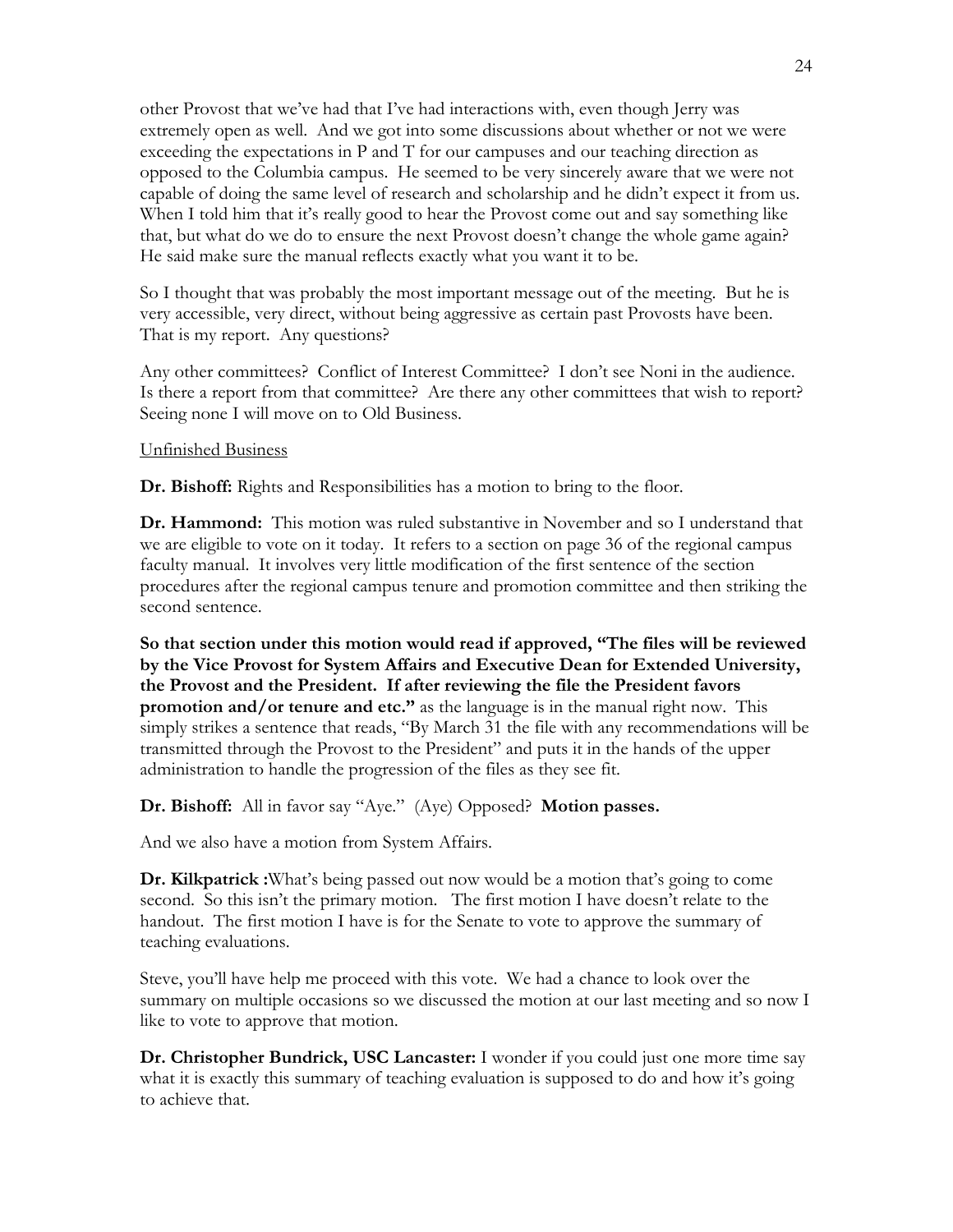other Provost that we've had that I've had interactions with, even though Jerry was extremely open as well. And we got into some discussions about whether or not we were exceeding the expectations in P and T for our campuses and our teaching direction as opposed to the Columbia campus. He seemed to be very sincerely aware that we were not capable of doing the same level of research and scholarship and he didn't expect it from us. When I told him that it's really good to hear the Provost come out and say something like that, but what do we do to ensure the next Provost doesn't change the whole game again? He said make sure the manual reflects exactly what you want it to be.

So I thought that was probably the most important message out of the meeting. But he is very accessible, very direct, without being aggressive as certain past Provosts have been. That is my report. Any questions?

Any other committees? Conflict of Interest Committee? I don't see Noni in the audience. Is there a report from that committee? Are there any other committees that wish to report? Seeing none I will move on to Old Business.

#### Unfinished Business

**Dr. Bishoff:** Rights and Responsibilities has a motion to bring to the floor.

**Dr. Hammond:** This motion was ruled substantive in November and so I understand that we are eligible to vote on it today. It refers to a section on page 36 of the regional campus faculty manual. It involves very little modification of the first sentence of the section procedures after the regional campus tenure and promotion committee and then striking the second sentence.

**So that section under this motion would read if approved, "The files will be reviewed by the Vice Provost for System Affairs and Executive Dean for Extended University, the Provost and the President. If after reviewing the file the President favors promotion and/or tenure and etc."** as the language is in the manual right now. This simply strikes a sentence that reads, "By March 31 the file with any recommendations will be transmitted through the Provost to the President" and puts it in the hands of the upper administration to handle the progression of the files as they see fit.

**Dr. Bishoff:** All in favor say "Aye." (Aye) Opposed? **Motion passes.**

And we also have a motion from System Affairs.

**Dr. Kilkpatrick :**What's being passed out now would be a motion that's going to come second. So this isn't the primary motion. The first motion I have doesn't relate to the handout. The first motion I have is for the Senate to vote to approve the summary of teaching evaluations.

Steve, you'll have help me proceed with this vote. We had a chance to look over the summary on multiple occasions so we discussed the motion at our last meeting and so now I like to vote to approve that motion.

**Dr. Christopher Bundrick, USC Lancaster:** I wonder if you could just one more time say what it is exactly this summary of teaching evaluation is supposed to do and how it's going to achieve that.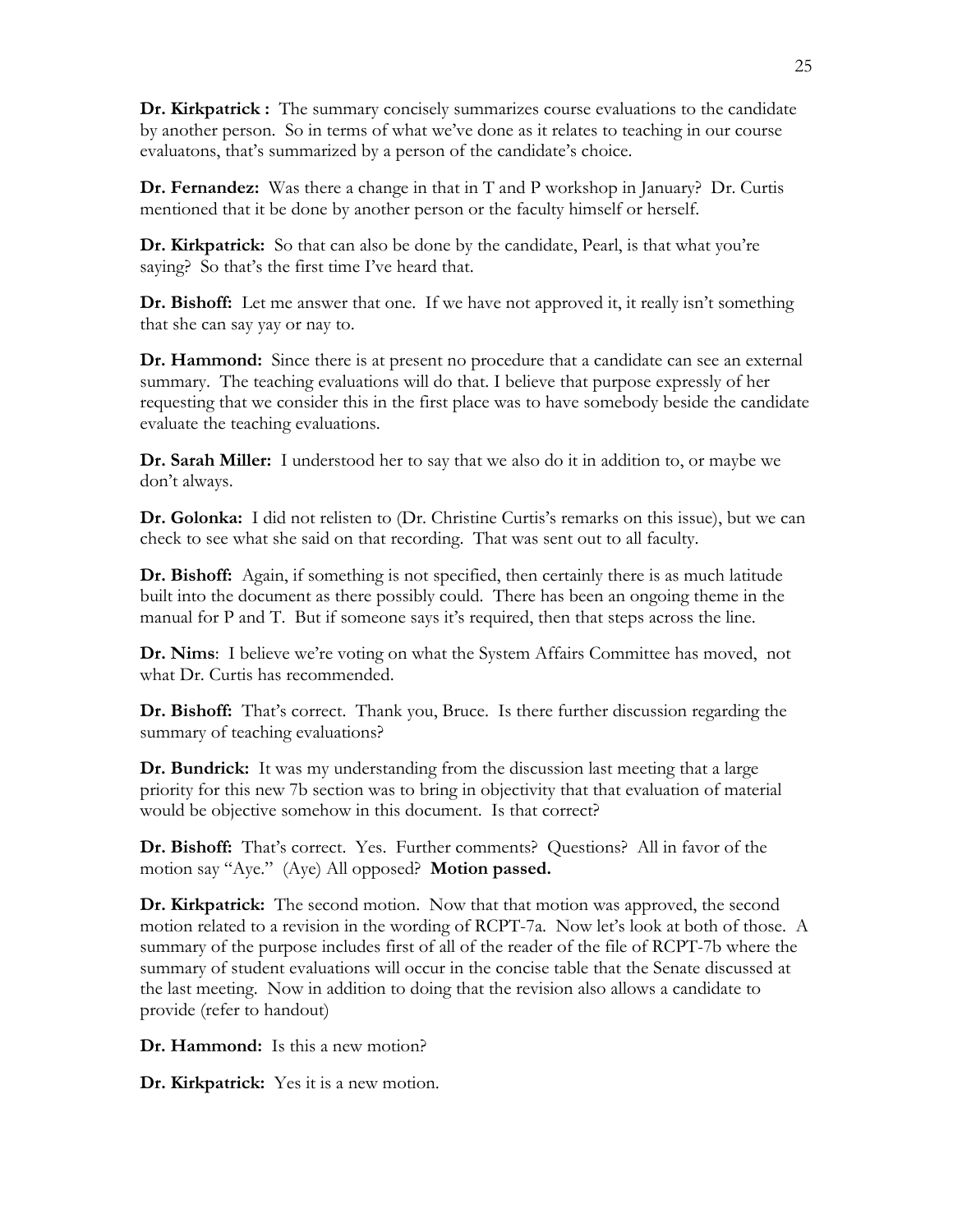**Dr. Kirkpatrick :** The summary concisely summarizes course evaluations to the candidate by another person. So in terms of what we've done as it relates to teaching in our course evaluatons, that's summarized by a person of the candidate's choice.

**Dr. Fernandez:** Was there a change in that in T and P workshop in January? Dr. Curtis mentioned that it be done by another person or the faculty himself or herself.

**Dr. Kirkpatrick:** So that can also be done by the candidate, Pearl, is that what you're saying? So that's the first time I've heard that.

**Dr. Bishoff:** Let me answer that one. If we have not approved it, it really isn't something that she can say yay or nay to.

**Dr. Hammond:** Since there is at present no procedure that a candidate can see an external summary. The teaching evaluations will do that. I believe that purpose expressly of her requesting that we consider this in the first place was to have somebody beside the candidate evaluate the teaching evaluations.

**Dr. Sarah Miller:** I understood her to say that we also do it in addition to, or maybe we don't always.

**Dr. Golonka:** I did not relisten to (Dr. Christine Curtis's remarks on this issue), but we can check to see what she said on that recording. That was sent out to all faculty.

**Dr. Bishoff:** Again, if something is not specified, then certainly there is as much latitude built into the document as there possibly could. There has been an ongoing theme in the manual for P and T. But if someone says it's required, then that steps across the line.

**Dr. Nims**: I believe we're voting on what the System Affairs Committee has moved, not what Dr. Curtis has recommended.

**Dr. Bishoff:** That's correct. Thank you, Bruce. Is there further discussion regarding the summary of teaching evaluations?

**Dr. Bundrick:** It was my understanding from the discussion last meeting that a large priority for this new 7b section was to bring in objectivity that that evaluation of material would be objective somehow in this document. Is that correct?

**Dr. Bishoff:** That's correct. Yes. Further comments? Questions? All in favor of the motion say "Aye." (Aye) All opposed? **Motion passed.**

**Dr. Kirkpatrick:** The second motion. Now that that motion was approved, the second motion related to a revision in the wording of RCPT-7a. Now let's look at both of those. A summary of the purpose includes first of all of the reader of the file of RCPT-7b where the summary of student evaluations will occur in the concise table that the Senate discussed at the last meeting. Now in addition to doing that the revision also allows a candidate to provide (refer to handout)

**Dr. Hammond:** Is this a new motion?

**Dr. Kirkpatrick:** Yes it is a new motion.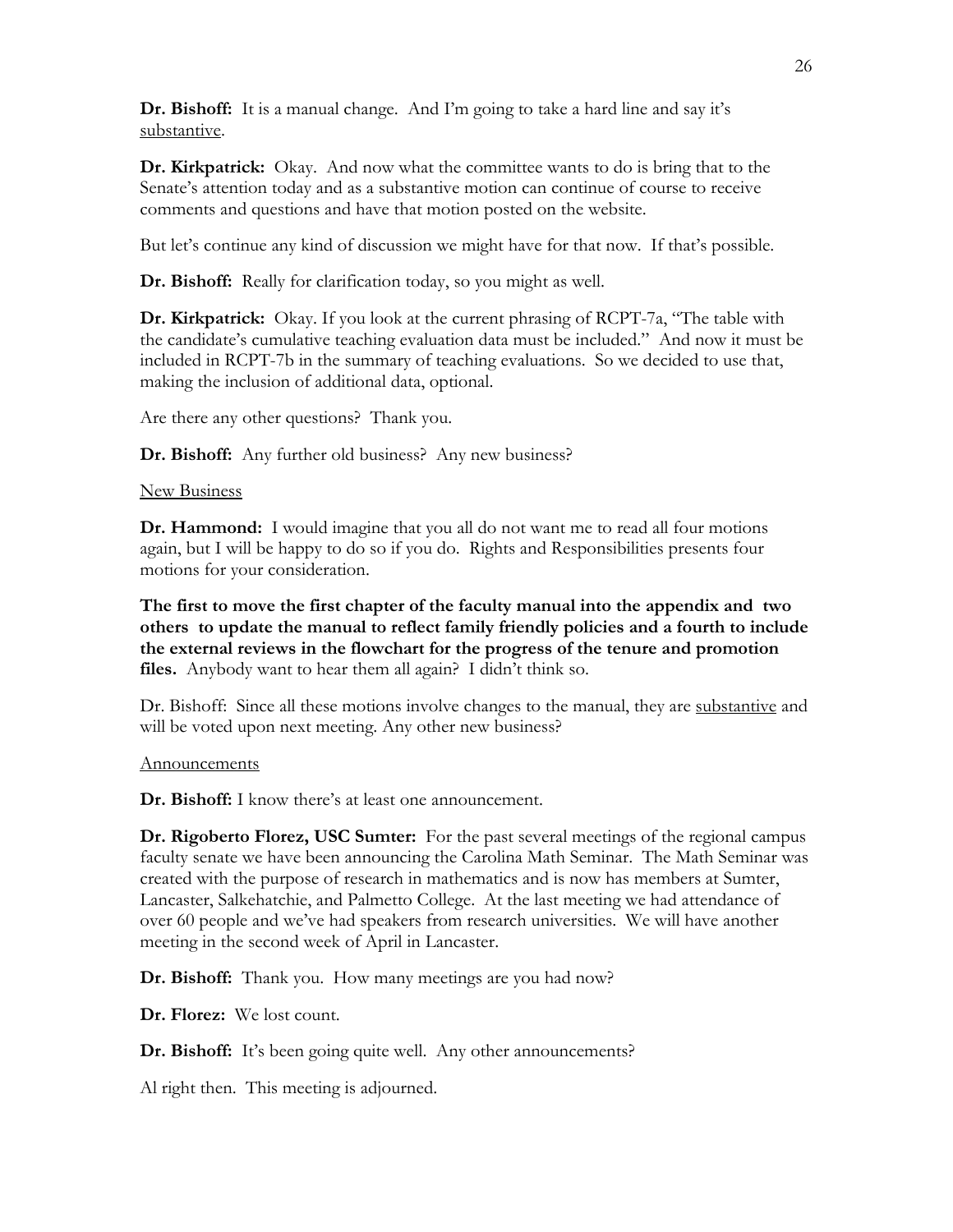**Dr. Bishoff:** It is a manual change. And I'm going to take a hard line and say it's substantive.

**Dr. Kirkpatrick:** Okay. And now what the committee wants to do is bring that to the Senate's attention today and as a substantive motion can continue of course to receive comments and questions and have that motion posted on the website.

But let's continue any kind of discussion we might have for that now. If that's possible.

**Dr. Bishoff:** Really for clarification today, so you might as well.

**Dr. Kirkpatrick:** Okay. If you look at the current phrasing of RCPT-7a, "The table with the candidate's cumulative teaching evaluation data must be included." And now it must be included in RCPT-7b in the summary of teaching evaluations. So we decided to use that, making the inclusion of additional data, optional.

Are there any other questions? Thank you.

**Dr. Bishoff:** Any further old business? Any new business?

#### New Business

**Dr. Hammond:** I would imagine that you all do not want me to read all four motions again, but I will be happy to do so if you do. Rights and Responsibilities presents four motions for your consideration.

**The first to move the first chapter of the faculty manual into the appendix and two others to update the manual to reflect family friendly policies and a fourth to include the external reviews in the flowchart for the progress of the tenure and promotion files.** Anybody want to hear them all again? I didn't think so.

Dr. Bishoff: Since all these motions involve changes to the manual, they are substantive and will be voted upon next meeting. Any other new business?

#### Announcements

**Dr. Bishoff:** I know there's at least one announcement.

**Dr. Rigoberto Florez, USC Sumter:** For the past several meetings of the regional campus faculty senate we have been announcing the Carolina Math Seminar. The Math Seminar was created with the purpose of research in mathematics and is now has members at Sumter, Lancaster, Salkehatchie, and Palmetto College. At the last meeting we had attendance of over 60 people and we've had speakers from research universities. We will have another meeting in the second week of April in Lancaster.

**Dr. Bishoff:** Thank you. How many meetings are you had now?

**Dr. Florez:** We lost count.

**Dr. Bishoff:** It's been going quite well. Any other announcements?

Al right then. This meeting is adjourned.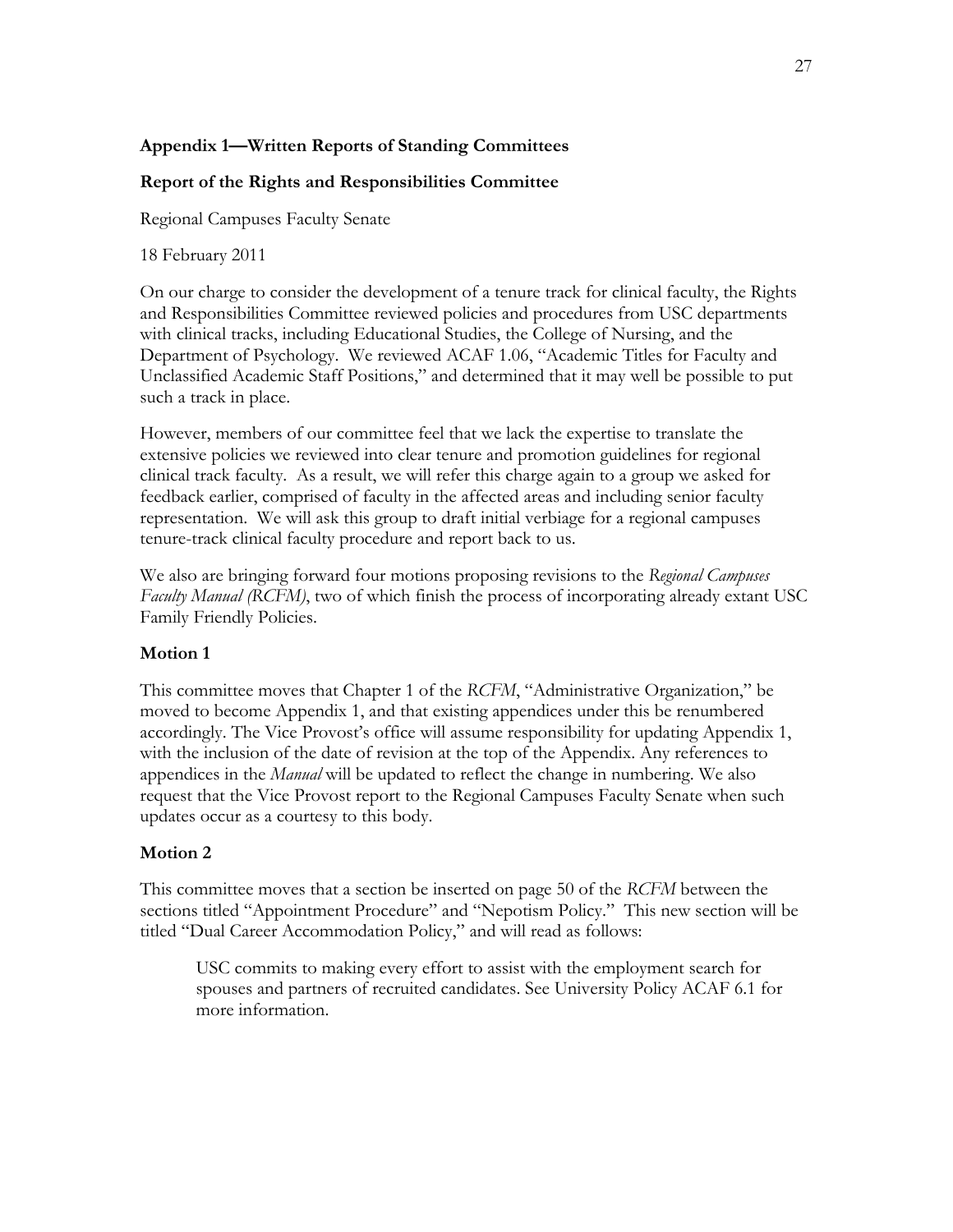### **Appendix 1—Written Reports of Standing Committees**

### **Report of the Rights and Responsibilities Committee**

Regional Campuses Faculty Senate

18 February 2011

On our charge to consider the development of a tenure track for clinical faculty, the Rights and Responsibilities Committee reviewed policies and procedures from USC departments with clinical tracks, including Educational Studies, the College of Nursing, and the Department of Psychology. We reviewed ACAF 1.06, "Academic Titles for Faculty and Unclassified Academic Staff Positions," and determined that it may well be possible to put such a track in place.

However, members of our committee feel that we lack the expertise to translate the extensive policies we reviewed into clear tenure and promotion guidelines for regional clinical track faculty. As a result, we will refer this charge again to a group we asked for feedback earlier, comprised of faculty in the affected areas and including senior faculty representation. We will ask this group to draft initial verbiage for a regional campuses tenure-track clinical faculty procedure and report back to us.

We also are bringing forward four motions proposing revisions to the *Regional Campuses Faculty Manual (RCFM)*, two of which finish the process of incorporating already extant USC Family Friendly Policies.

### **Motion 1**

This committee moves that Chapter 1 of the *RCFM*, "Administrative Organization," be moved to become Appendix 1, and that existing appendices under this be renumbered accordingly. The Vice Provost's office will assume responsibility for updating Appendix 1, with the inclusion of the date of revision at the top of the Appendix. Any references to appendices in the *Manual* will be updated to reflect the change in numbering. We also request that the Vice Provost report to the Regional Campuses Faculty Senate when such updates occur as a courtesy to this body.

### **Motion 2**

This committee moves that a section be inserted on page 50 of the *RCFM* between the sections titled "Appointment Procedure" and "Nepotism Policy." This new section will be titled "Dual Career Accommodation Policy," and will read as follows:

USC commits to making every effort to assist with the employment search for spouses and partners of recruited candidates. See University Policy ACAF 6.1 for more information.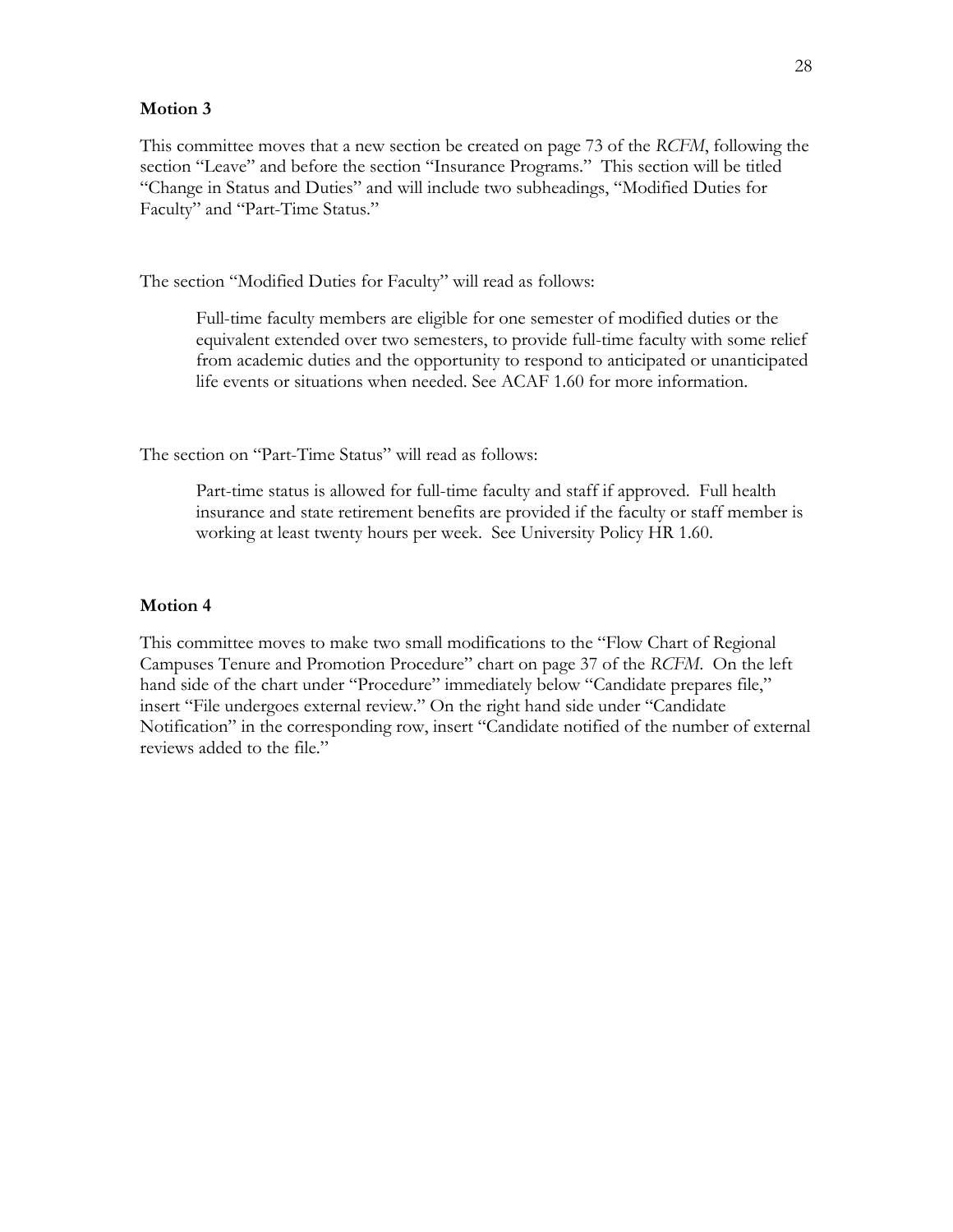#### **Motion 3**

This committee moves that a new section be created on page 73 of the *RCFM*, following the section "Leave" and before the section "Insurance Programs." This section will be titled "Change in Status and Duties" and will include two subheadings, "Modified Duties for Faculty" and "Part-Time Status."

The section "Modified Duties for Faculty" will read as follows:

Full-time faculty members are eligible for one semester of modified duties or the equivalent extended over two semesters, to provide full-time faculty with some relief from academic duties and the opportunity to respond to anticipated or unanticipated life events or situations when needed. See ACAF 1.60 for more information.

The section on "Part-Time Status" will read as follows:

Part-time status is allowed for full-time faculty and staff if approved. Full health insurance and state retirement benefits are provided if the faculty or staff member is working at least twenty hours per week. See University Policy HR 1.60.

#### **Motion 4**

This committee moves to make two small modifications to the "Flow Chart of Regional Campuses Tenure and Promotion Procedure" chart on page 37 of the *RCFM*. On the left hand side of the chart under "Procedure" immediately below "Candidate prepares file," insert "File undergoes external review." On the right hand side under "Candidate Notification" in the corresponding row, insert "Candidate notified of the number of external reviews added to the file."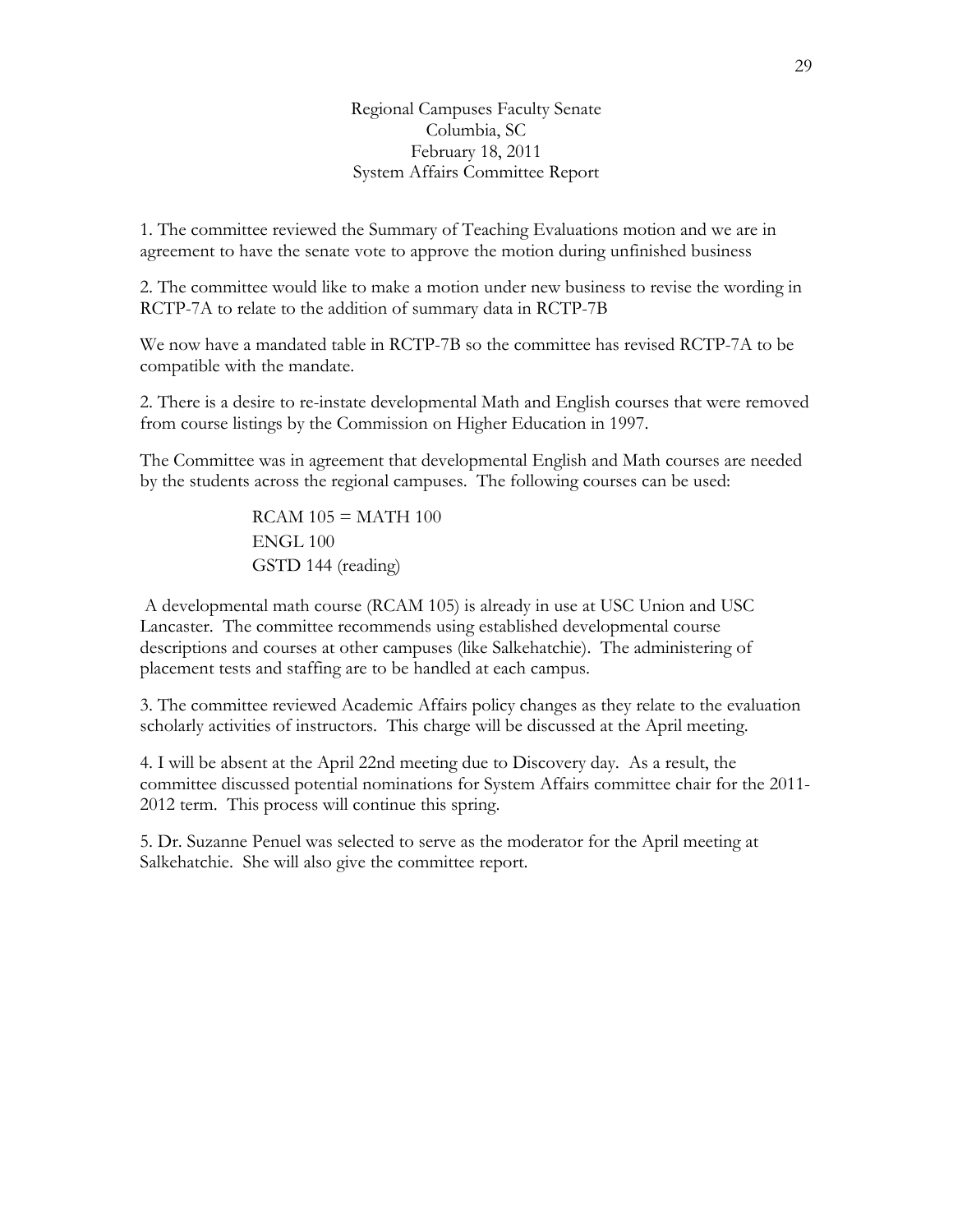Regional Campuses Faculty Senate Columbia, SC February 18, 2011 System Affairs Committee Report

1. The committee reviewed the Summary of Teaching Evaluations motion and we are in agreement to have the senate vote to approve the motion during unfinished business

2. The committee would like to make a motion under new business to revise the wording in RCTP-7A to relate to the addition of summary data in RCTP-7B

We now have a mandated table in RCTP-7B so the committee has revised RCTP-7A to be compatible with the mandate.

2. There is a desire to re-instate developmental Math and English courses that were removed from course listings by the Commission on Higher Education in 1997.

The Committee was in agreement that developmental English and Math courses are needed by the students across the regional campuses. The following courses can be used:

> $RCAM 105 = MATH 100$ ENGL 100 GSTD 144 (reading)

 A developmental math course (RCAM 105) is already in use at USC Union and USC Lancaster. The committee recommends using established developmental course descriptions and courses at other campuses (like Salkehatchie). The administering of placement tests and staffing are to be handled at each campus.

3. The committee reviewed Academic Affairs policy changes as they relate to the evaluation scholarly activities of instructors. This charge will be discussed at the April meeting.

4. I will be absent at the April 22nd meeting due to Discovery day. As a result, the committee discussed potential nominations for System Affairs committee chair for the 2011- 2012 term. This process will continue this spring.

5. Dr. Suzanne Penuel was selected to serve as the moderator for the April meeting at Salkehatchie. She will also give the committee report.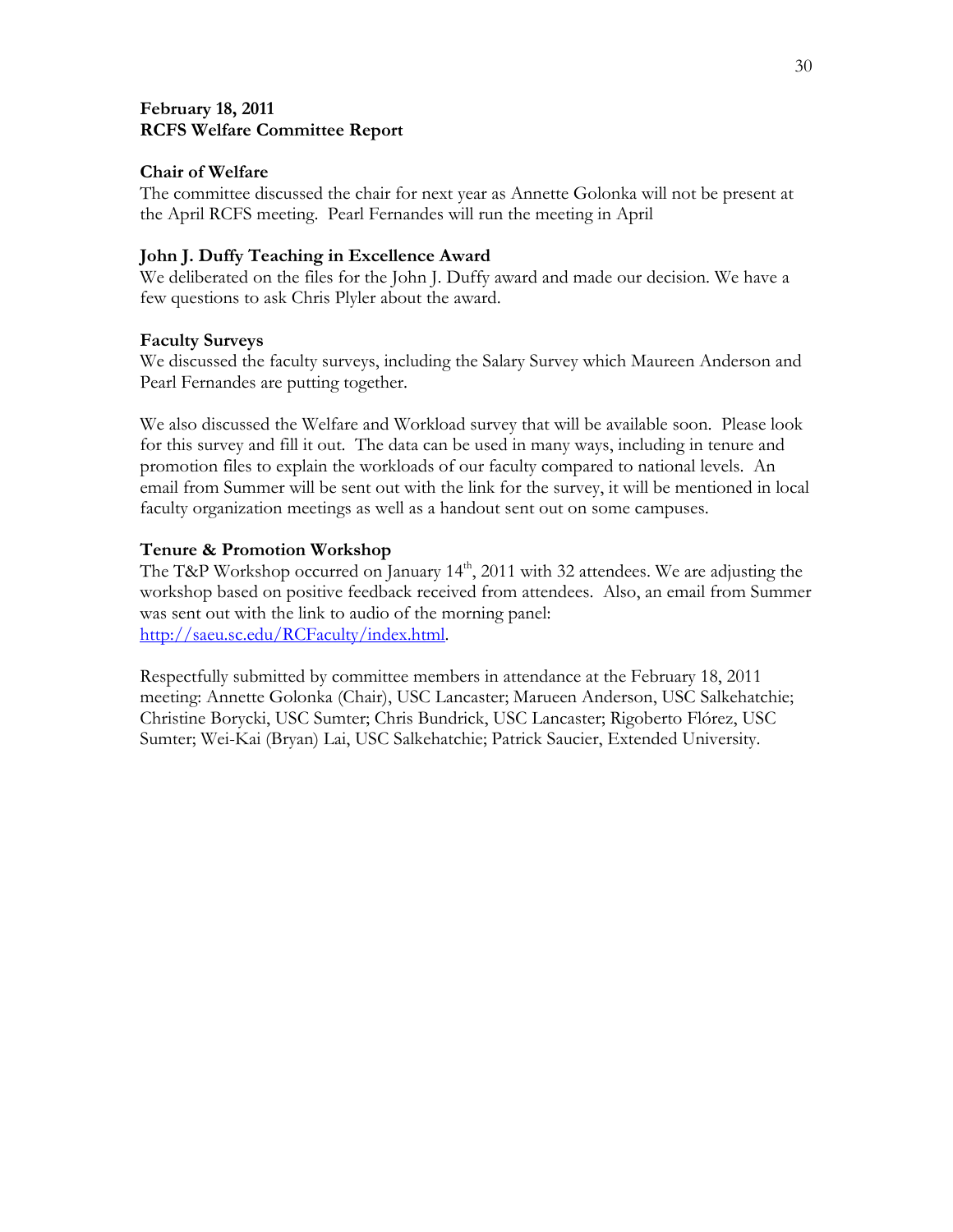### **February 18, 2011 RCFS Welfare Committee Report**

### **Chair of Welfare**

The committee discussed the chair for next year as Annette Golonka will not be present at the April RCFS meeting. Pearl Fernandes will run the meeting in April

### **John J. Duffy Teaching in Excellence Award**

We deliberated on the files for the John J. Duffy award and made our decision. We have a few questions to ask Chris Plyler about the award.

### **Faculty Surveys**

We discussed the faculty surveys, including the Salary Survey which Maureen Anderson and Pearl Fernandes are putting together.

We also discussed the Welfare and Workload survey that will be available soon. Please look for this survey and fill it out. The data can be used in many ways, including in tenure and promotion files to explain the workloads of our faculty compared to national levels. An email from Summer will be sent out with the link for the survey, it will be mentioned in local faculty organization meetings as well as a handout sent out on some campuses.

### **Tenure & Promotion Workshop**

The T&P Workshop occurred on January  $14<sup>th</sup>$ , 2011 with 32 attendees. We are adjusting the workshop based on positive feedback received from attendees. Also, an email from Summer was sent out with the link to audio of the morning panel: http://saeu.sc.edu/RCFaculty/index.html.

Respectfully submitted by committee members in attendance at the February 18, 2011 meeting: Annette Golonka (Chair), USC Lancaster; Marueen Anderson, USC Salkehatchie; Christine Borycki, USC Sumter; Chris Bundrick, USC Lancaster; Rigoberto Flórez, USC Sumter; Wei-Kai (Bryan) Lai, USC Salkehatchie; Patrick Saucier, Extended University.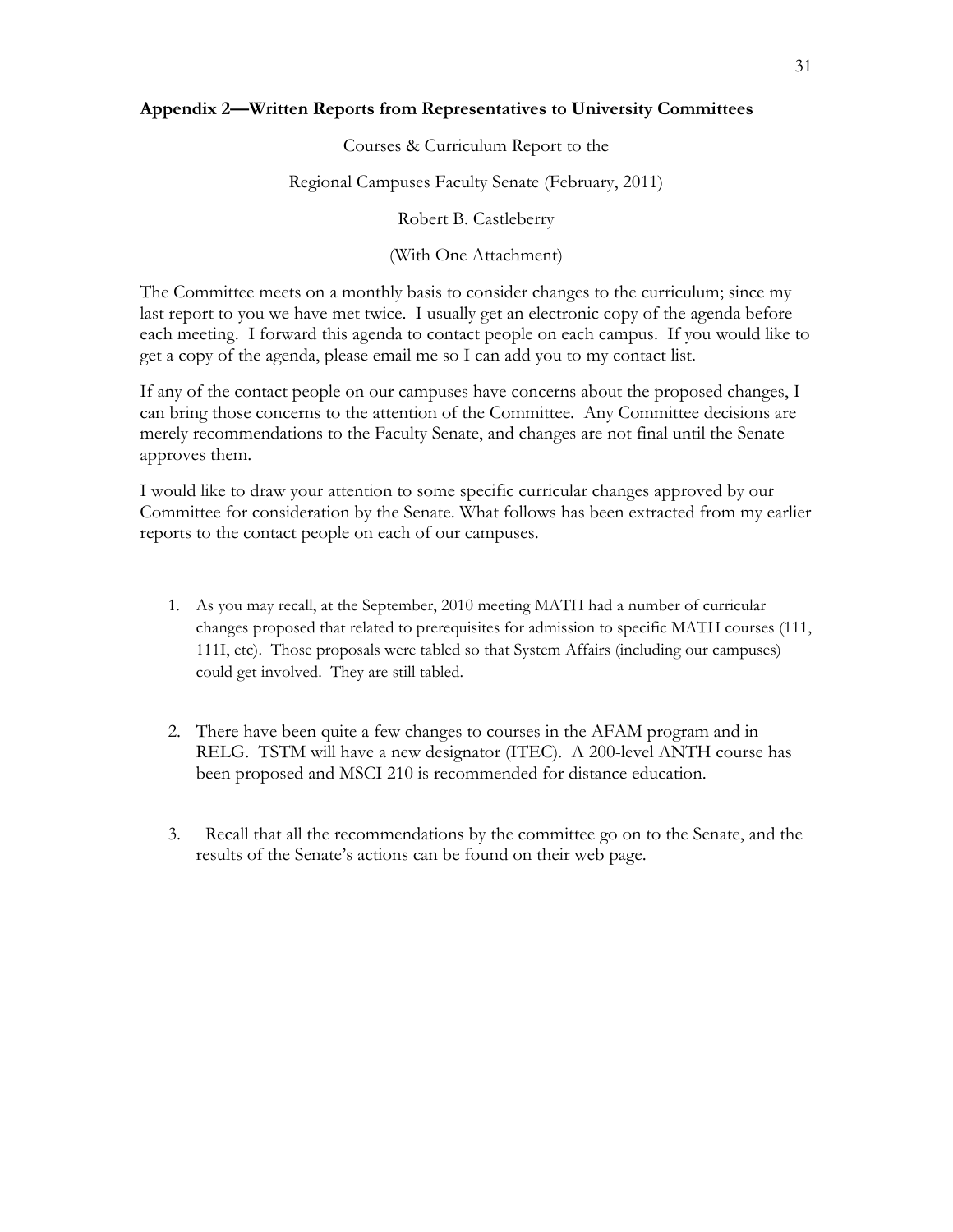#### **Appendix 2—Written Reports from Representatives to University Committees**

Courses & Curriculum Report to the

Regional Campuses Faculty Senate (February, 2011)

Robert B. Castleberry

#### (With One Attachment)

The Committee meets on a monthly basis to consider changes to the curriculum; since my last report to you we have met twice. I usually get an electronic copy of the agenda before each meeting. I forward this agenda to contact people on each campus. If you would like to get a copy of the agenda, please email me so I can add you to my contact list.

If any of the contact people on our campuses have concerns about the proposed changes, I can bring those concerns to the attention of the Committee. Any Committee decisions are merely recommendations to the Faculty Senate, and changes are not final until the Senate approves them.

I would like to draw your attention to some specific curricular changes approved by our Committee for consideration by the Senate. What follows has been extracted from my earlier reports to the contact people on each of our campuses.

- 1. As you may recall, at the September, 2010 meeting MATH had a number of curricular changes proposed that related to prerequisites for admission to specific MATH courses (111, 111I, etc). Those proposals were tabled so that System Affairs (including our campuses) could get involved. They are still tabled.
- 2. There have been quite a few changes to courses in the AFAM program and in RELG. TSTM will have a new designator (ITEC). A 200-level ANTH course has been proposed and MSCI 210 is recommended for distance education.
- 3. Recall that all the recommendations by the committee go on to the Senate, and the results of the Senate's actions can be found on their web page.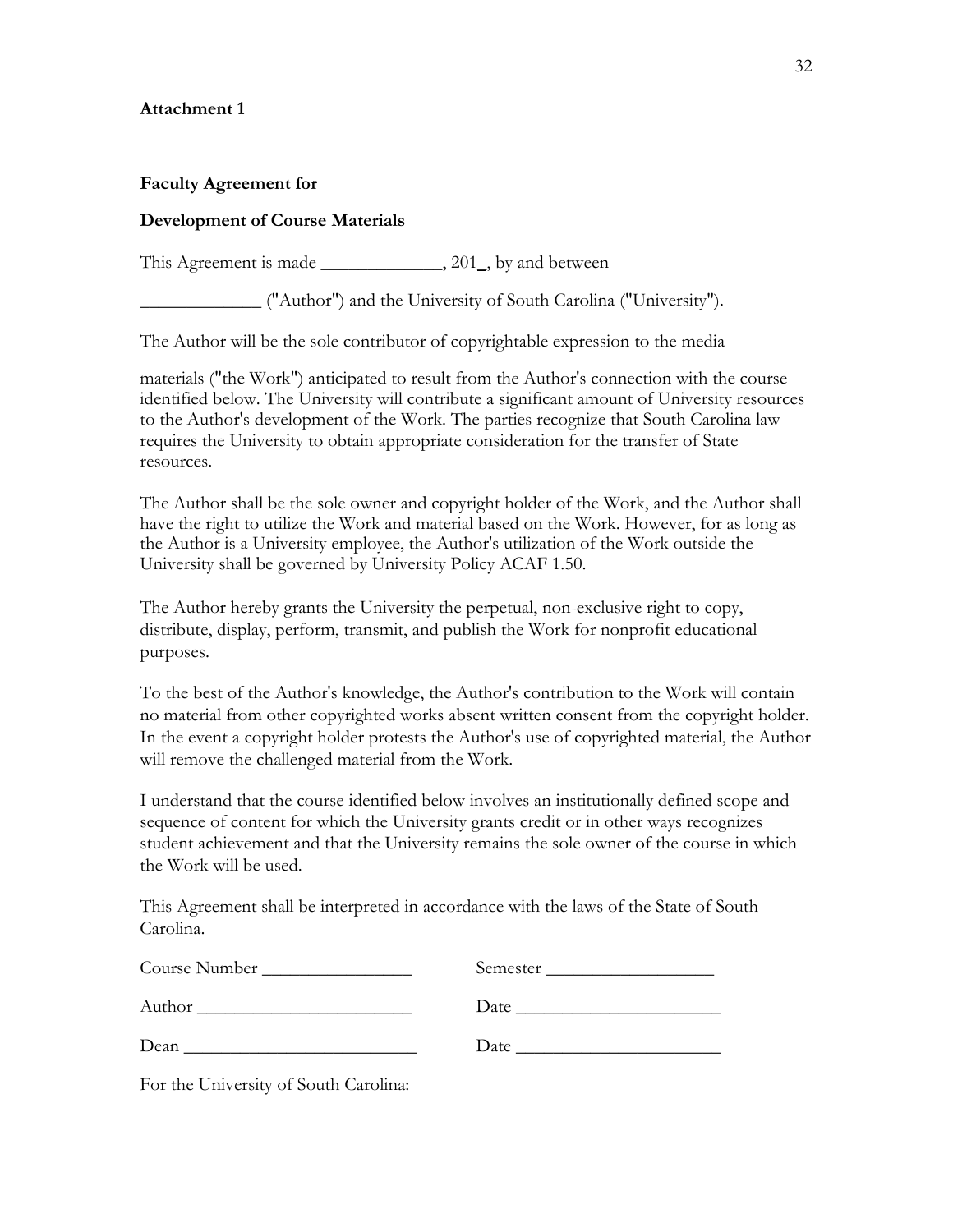### **Attachment 1**

#### **Faculty Agreement for**

#### **Development of Course Materials**

This Agreement is made \_\_\_\_\_\_\_\_\_\_\_\_\_\_\_\_, 201, by and between

\_\_\_\_\_\_\_\_\_\_\_\_\_ ("Author") and the University of South Carolina ("University").

The Author will be the sole contributor of copyrightable expression to the media

materials ("the Work") anticipated to result from the Author's connection with the course identified below. The University will contribute a significant amount of University resources to the Author's development of the Work. The parties recognize that South Carolina law requires the University to obtain appropriate consideration for the transfer of State resources.

The Author shall be the sole owner and copyright holder of the Work, and the Author shall have the right to utilize the Work and material based on the Work. However, for as long as the Author is a University employee, the Author's utilization of the Work outside the University shall be governed by University Policy ACAF 1.50.

The Author hereby grants the University the perpetual, non-exclusive right to copy, distribute, display, perform, transmit, and publish the Work for nonprofit educational purposes.

To the best of the Author's knowledge, the Author's contribution to the Work will contain no material from other copyrighted works absent written consent from the copyright holder. In the event a copyright holder protests the Author's use of copyrighted material, the Author will remove the challenged material from the Work.

I understand that the course identified below involves an institutionally defined scope and sequence of content for which the University grants credit or in other ways recognizes student achievement and that the University remains the sole owner of the course in which the Work will be used.

This Agreement shall be interpreted in accordance with the laws of the State of South Carolina.

| Course Number | Semester |
|---------------|----------|
| Author        | Date     |
| Dean          | Date     |

For the University of South Carolina: